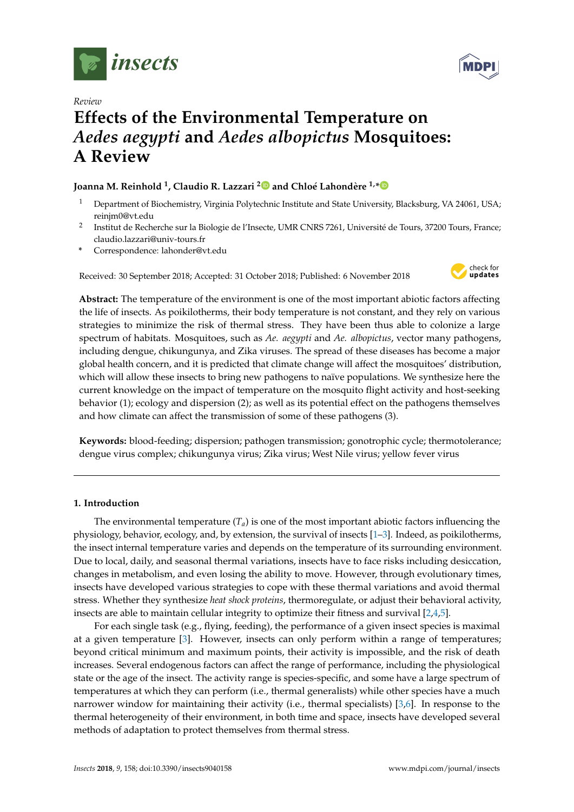

*Review*



# **Effects of the Environmental Temperature on** *Aedes aegypti* **and** *Aedes albopictus* **Mosquitoes: A Review**

## **Joanna M. Reinhold <sup>1</sup> , Claudio R. Lazzari [2](https://orcid.org/0000-0003-3703-0302) and Chloé Lahondère 1,[\\*](https://orcid.org/0000-0003-1949-7865)**

- <sup>1</sup> Department of Biochemistry, Virginia Polytechnic Institute and State University, Blacksburg, VA 24061, USA; reinjm0@vt.edu
- 2 Institut de Recherche sur la Biologie de l'Insecte, UMR CNRS 7261, Université de Tours, 37200 Tours, France; claudio.lazzari@univ-tours.fr
- **\*** Correspondence: lahonder@vt.edu

Received: 30 September 2018; Accepted: 31 October 2018; Published: 6 November 2018



**Abstract:** The temperature of the environment is one of the most important abiotic factors affecting the life of insects. As poikilotherms, their body temperature is not constant, and they rely on various strategies to minimize the risk of thermal stress. They have been thus able to colonize a large spectrum of habitats. Mosquitoes, such as *Ae. aegypti* and *Ae. albopictus*, vector many pathogens, including dengue, chikungunya, and Zika viruses. The spread of these diseases has become a major global health concern, and it is predicted that climate change will affect the mosquitoes' distribution, which will allow these insects to bring new pathogens to naïve populations. We synthesize here the current knowledge on the impact of temperature on the mosquito flight activity and host-seeking behavior (1); ecology and dispersion (2); as well as its potential effect on the pathogens themselves and how climate can affect the transmission of some of these pathogens (3).

**Keywords:** blood-feeding; dispersion; pathogen transmission; gonotrophic cycle; thermotolerance; dengue virus complex; chikungunya virus; Zika virus; West Nile virus; yellow fever virus

## **1. Introduction**

The environmental temperature  $(T_a)$  is one of the most important abiotic factors influencing the physiology, behavior, ecology, and, by extension, the survival of insects [\[1–](#page-10-0)[3\]](#page-10-1). Indeed, as poikilotherms, the insect internal temperature varies and depends on the temperature of its surrounding environment. Due to local, daily, and seasonal thermal variations, insects have to face risks including desiccation, changes in metabolism, and even losing the ability to move. However, through evolutionary times, insects have developed various strategies to cope with these thermal variations and avoid thermal stress. Whether they synthesize *heat shock proteins*, thermoregulate, or adjust their behavioral activity, insects are able to maintain cellular integrity to optimize their fitness and survival [\[2](#page-10-2)[,4](#page-10-3)[,5\]](#page-10-4).

For each single task (e.g., flying, feeding), the performance of a given insect species is maximal at a given temperature [\[3\]](#page-10-1). However, insects can only perform within a range of temperatures; beyond critical minimum and maximum points, their activity is impossible, and the risk of death increases. Several endogenous factors can affect the range of performance, including the physiological state or the age of the insect. The activity range is species-specific, and some have a large spectrum of temperatures at which they can perform (i.e., thermal generalists) while other species have a much narrower window for maintaining their activity (i.e., thermal specialists) [\[3](#page-10-1)[,6\]](#page-10-5). In response to the thermal heterogeneity of their environment, in both time and space, insects have developed several methods of adaptation to protect themselves from thermal stress.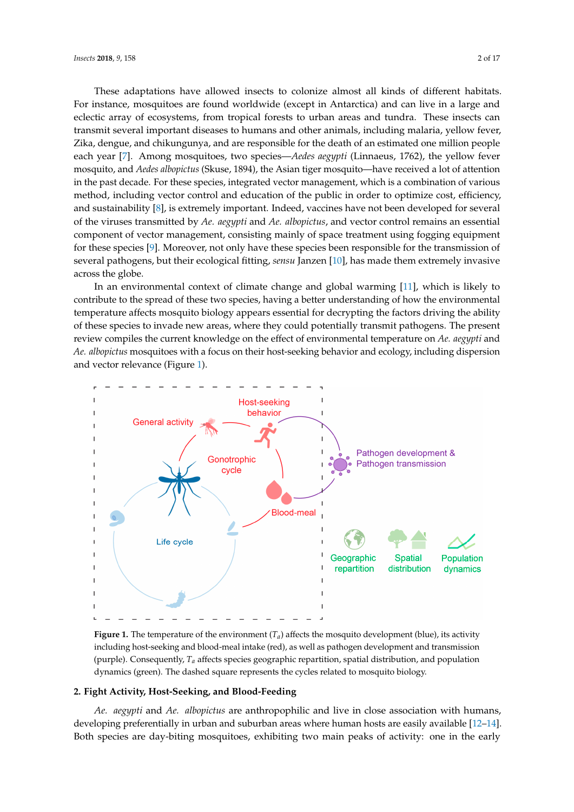These adaptations have allowed insects to colonize almost all kinds of different habitats. For instance, mosquitoes are found worldwide (except in Antarctica) and can live in a large and eclectic array of ecosystems, from tropical forests to urban areas and tundra. These insects can transmit several important diseases to humans and other animals, including malaria, yellow fever,<br>Zika, Lika, Lika, Lika, Lika, Lika, Lika, Lika, Lika, Lika, Lika, Lika, Lika, Lika, Lika, Lika, Lika, Lika, Li Zika, dengue, and chikungunya, and are responsible for the death of an estimated one million people Zika, dengu each year [\[7\]](#page-10-6). Among mosquitoes, two species—*Aedes aegypti* (Linnaeus, 1762), the yellow fever mosquito, the yellow fever mosquito, the yellow fever mosquito, the yellow fever mosquito, the yellow fever mosquito, the yell mosquito, and *Aedes albopictus* (Skuse, 1894), the Asian tiger mosquito—have received a lot of attention in the *definition* in the set of and *a* in the past decade. For these species, integrated vector management, which is a combination of various past decade. For these species, integrated vector management, which is a combination of various method, including vector control and education of the public in order to optimize cost, efficiency, method, including vector control and education of the public in order to optimize cost, efficiency, and sustainability [\[8\]](#page-10-7), is extremely important. Indeed, vaccines have not been developed for several and sustainability [8], is extremely important. Indeed, vaccines have not been developed for several of the viruses transmitted by Ae. aegypti and Ae. albopictus, and vector control remains an essential component of vector management, consisting mainly of space treatment using fogging equipment component of vector management, consisting mainly of space treatment using fogging equipment for these species [\[9\]](#page-10-8). Moreover, not only have these species been responsible for the transmission of several pathogens, but their ecological fitting, *sensu* Janzen [\[10\]](#page-10-9), has made them extremely invasive several pathogens, but their ecological fitting, *sensu* Janzen [10], has made them extremely invasive across the globe. across the globe.

In an environmental context of climate change and global warming [\[11\]](#page-10-10), which is likely to In an environmental context of climate change and global warming [11], which is likely to contribute to the spread of these two species, having a better understanding of how the environmental contribute to the spread of these two species, having a better understanding of how the environmental temperature affects mosquito biology appears essential for decrypting the factors driving the ability of the ability of these species to invade new areas, where they could potentially transmit pathogens. The present review compiles the current knowledge on the effect of environmental temperature on *Ae. aegypti* and review compiles the current knowledge on the effect of environmental temperature on *Ae. aegypti* Ae. *albopictus* mosquitoes with a focus on their host-seeking behavior and ecology, including dispersion and vector relevance (Figure [1\)](#page-1-0).

<span id="page-1-0"></span>

Figure 1. The temperature of the environment  $(T_a)$  affects the mosquito development (blue), its activity including host-seeking and blood-meal intake (red), as well as pathogen development and transmission (purple). Consequently,  $T_a$  affects species geographic repartition, spatial distribution, and population dynamics (green). The dashed square represents the cycles related to mosquito biology.

#### **2. Fight Activity, Host-Seeking, and Blood-Feeding**

Ae. aegypti and Ae. albopictus are anthropophilic and live in close association with humans, developing preferentially in urban and suburban areas where human hosts are easily available [\[12–](#page-10-11)[14\]](#page-11-0). Both species are day-biting mosquitoes, exhibiting two main peaks of activity: one in the early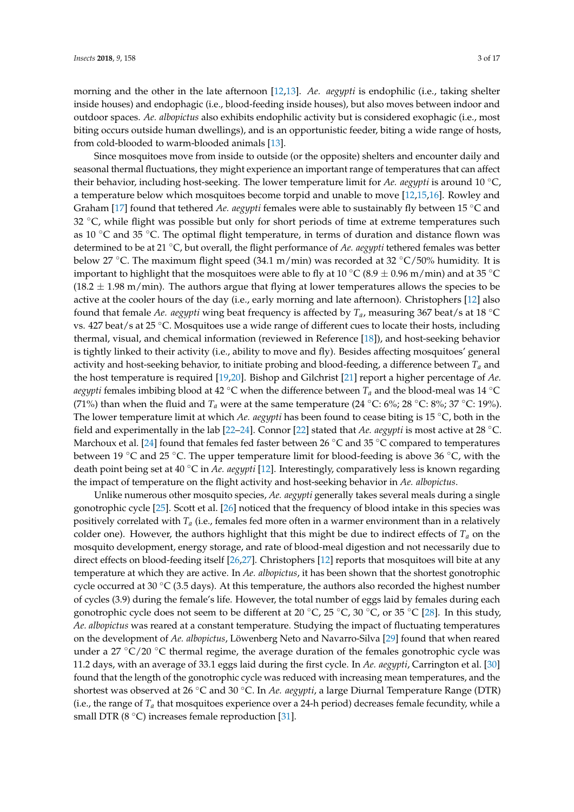morning and the other in the late afternoon [\[12](#page-10-11)[,13\]](#page-11-1). *Ae. aegypti* is endophilic (i.e., taking shelter inside houses) and endophagic (i.e., blood-feeding inside houses), but also moves between indoor and outdoor spaces. *Ae. albopictus* also exhibits endophilic activity but is considered exophagic (i.e., most biting occurs outside human dwellings), and is an opportunistic feeder, biting a wide range of hosts, from cold-blooded to warm-blooded animals [\[13\]](#page-11-1).

Since mosquitoes move from inside to outside (or the opposite) shelters and encounter daily and seasonal thermal fluctuations, they might experience an important range of temperatures that can affect their behavior, including host-seeking. The lower temperature limit for *Ae. aegypti* is around 10 ◦C, a temperature below which mosquitoes become torpid and unable to move [\[12](#page-10-11)[,15](#page-11-2)[,16\]](#page-11-3). Rowley and Graham [\[17\]](#page-11-4) found that tethered *Ae. aegypti* females were able to sustainably fly between 15 ◦C and 32  $°C$ , while flight was possible but only for short periods of time at extreme temperatures such as 10  $\degree$ C and 35  $\degree$ C. The optimal flight temperature, in terms of duration and distance flown was determined to be at 21 ◦C, but overall, the flight performance of *Ae. aegypti* tethered females was better below 27 °C. The maximum flight speed (34.1 m/min) was recorded at 32 °C/50% humidity. It is important to highlight that the mosquitoes were able to fly at 10 °C (8.9  $\pm$  0.96 m/min) and at 35 °C  $(18.2 \pm 1.98 \text{ m/min})$ . The authors argue that flying at lower temperatures allows the species to be active at the cooler hours of the day (i.e., early morning and late afternoon). Christophers [\[12\]](#page-10-11) also found that female *Ae. aegypti* wing beat frequency is affected by *Ta*, measuring 367 beat/s at 18 ◦C vs. 427 beat/s at 25 ◦C. Mosquitoes use a wide range of different cues to locate their hosts, including thermal, visual, and chemical information (reviewed in Reference [\[18\]](#page-11-5)), and host-seeking behavior is tightly linked to their activity (i.e., ability to move and fly). Besides affecting mosquitoes' general activity and host-seeking behavior, to initiate probing and blood-feeding, a difference between  $T_a$  and the host temperature is required [\[19,](#page-11-6)[20\]](#page-11-7). Bishop and Gilchrist [\[21\]](#page-11-8) report a higher percentage of *Ae. aegypti* females imbibing blood at 42 °C when the difference between  $T_a$  and the blood-meal was 14 °C (71%) than when the fluid and  $T_a$  were at the same temperature (24 °C: 6%; 28 °C: 8%; 37 °C: 19%). The lower temperature limit at which *Ae. aegypti* has been found to cease biting is 15 ◦C, both in the field and experimentally in the lab [\[22](#page-11-9)[–24\]](#page-11-10). Connor [\[22\]](#page-11-9) stated that *Ae. aegypti* is most active at 28 ◦C. Marchoux et al. [\[24\]](#page-11-10) found that females fed faster between 26 °C and 35 °C compared to temperatures between 19 ◦C and 25 ◦C. The upper temperature limit for blood-feeding is above 36 ◦C, with the death point being set at 40 ◦C in *Ae. aegypti* [\[12\]](#page-10-11). Interestingly, comparatively less is known regarding the impact of temperature on the flight activity and host-seeking behavior in *Ae. albopictus*.

Unlike numerous other mosquito species, *Ae. aegypti* generally takes several meals during a single gonotrophic cycle [\[25\]](#page-11-11). Scott et al. [\[26\]](#page-11-12) noticed that the frequency of blood intake in this species was positively correlated with  $T_a$  (i.e., females fed more often in a warmer environment than in a relatively colder one). However, the authors highlight that this might be due to indirect effects of  $T_a$  on the mosquito development, energy storage, and rate of blood-meal digestion and not necessarily due to direct effects on blood-feeding itself [\[26,](#page-11-12)[27\]](#page-11-13). Christophers [\[12\]](#page-10-11) reports that mosquitoes will bite at any temperature at which they are active. In *Ae. albopictus*, it has been shown that the shortest gonotrophic cycle occurred at 30  $\degree$ C (3.5 days). At this temperature, the authors also recorded the highest number of cycles (3.9) during the female's life. However, the total number of eggs laid by females during each gonotrophic cycle does not seem to be different at 20 °C, 25 °C, 30 °C, or 35 °C [\[28\]](#page-11-14). In this study, *Ae. albopictus* was reared at a constant temperature. Studying the impact of fluctuating temperatures on the development of *Ae. albopictus*, Löwenberg Neto and Navarro-Silva [\[29\]](#page-11-15) found that when reared under a 27  $\degree$ C/20  $\degree$ C thermal regime, the average duration of the females gonotrophic cycle was 11.2 days, with an average of 33.1 eggs laid during the first cycle. In *Ae. aegypti*, Carrington et al. [\[30\]](#page-11-16) found that the length of the gonotrophic cycle was reduced with increasing mean temperatures, and the shortest was observed at 26 ◦C and 30 ◦C. In *Ae. aegypti*, a large Diurnal Temperature Range (DTR) (i.e., the range of  $T_a$  that mosquitoes experience over a 24-h period) decreases female fecundity, while a small DTR  $(8 \degree C)$  increases female reproduction [\[31\]](#page-11-17).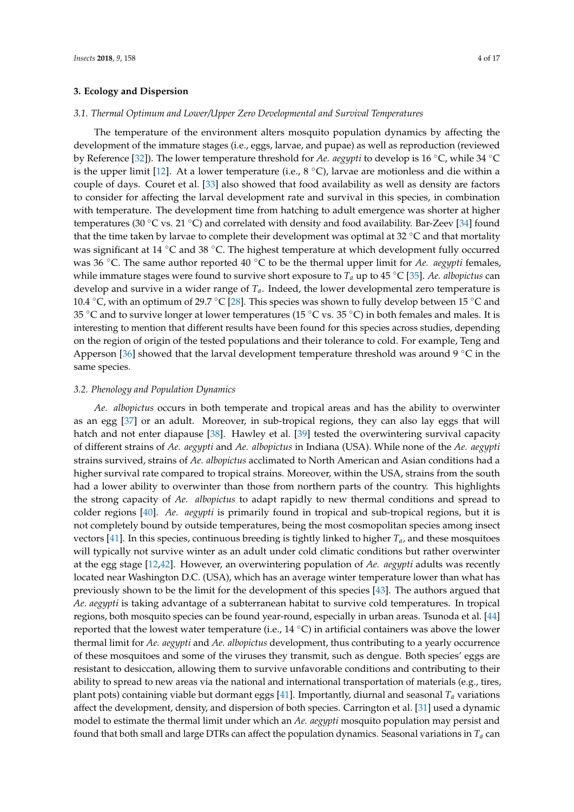## **3. Ecology and Dispersion**

#### *3.1. Thermal Optimum and Lower/Upper Zero Developmental and Survival Temperatures*

The temperature of the environment alters mosquito population dynamics by affecting the development of the immature stages (i.e., eggs, larvae, and pupae) as well as reproduction (reviewed by Reference [\[32\]](#page-11-18)). The lower temperature threshold for *Ae. aegypti* to develop is 16 ◦C, while 34 ◦C is the upper limit [\[12\]](#page-10-11). At a lower temperature (i.e.,  $8^{\circ}$ C), larvae are motionless and die within a couple of days. Couret et al. [\[33\]](#page-11-19) also showed that food availability as well as density are factors to consider for affecting the larval development rate and survival in this species, in combination with temperature. The development time from hatching to adult emergence was shorter at higher temperatures (30 °C vs. 21 °C) and correlated with density and food availability. Bar-Zeev [\[34\]](#page-11-20) found that the time taken by larvae to complete their development was optimal at 32 ◦C and that mortality was significant at 14 <sup>°</sup>C and 38 <sup>°</sup>C. The highest temperature at which development fully occurred was 36 ◦C. The same author reported 40 ◦C to be the thermal upper limit for *Ae. aegypti* females, while immature stages were found to survive short exposure to *T<sup>a</sup>* up to 45 ◦C [\[35\]](#page-12-0). *Ae. albopictus* can develop and survive in a wider range of  $T_a$ . Indeed, the lower developmental zero temperature is 10.4 °C, with an optimum of 29.7 °C [\[28\]](#page-11-14). This species was shown to fully develop between 15 °C and 35 °C and to survive longer at lower temperatures (15 °C vs. 35 °C) in both females and males. It is interesting to mention that different results have been found for this species across studies, depending on the region of origin of the tested populations and their tolerance to cold. For example, Teng and Apperson [\[36\]](#page-12-1) showed that the larval development temperature threshold was around 9  $\degree$ C in the same species.

#### *3.2. Phenology and Population Dynamics*

*Ae. albopictus* occurs in both temperate and tropical areas and has the ability to overwinter as an egg [\[37\]](#page-12-2) or an adult. Moreover, in sub-tropical regions, they can also lay eggs that will hatch and not enter diapause [\[38\]](#page-12-3). Hawley et al. [\[39\]](#page-12-4) tested the overwintering survival capacity of different strains of *Ae. aegypti* and *Ae. albopictus* in Indiana (USA). While none of the *Ae. aegypti* strains survived, strains of *Ae. albopictus* acclimated to North American and Asian conditions had a higher survival rate compared to tropical strains. Moreover, within the USA, strains from the south had a lower ability to overwinter than those from northern parts of the country. This highlights the strong capacity of *Ae. albopictus* to adapt rapidly to new thermal conditions and spread to colder regions [\[40\]](#page-12-5). *Ae. aegypti* is primarily found in tropical and sub-tropical regions, but it is not completely bound by outside temperatures, being the most cosmopolitan species among insect vectors [\[41\]](#page-12-6). In this species, continuous breeding is tightly linked to higher  $T_a$ , and these mosquitoes will typically not survive winter as an adult under cold climatic conditions but rather overwinter at the egg stage [\[12](#page-10-11)[,42\]](#page-12-7). However, an overwintering population of *Ae. aegypti* adults was recently located near Washington D.C. (USA), which has an average winter temperature lower than what has previously shown to be the limit for the development of this species [\[43\]](#page-12-8). The authors argued that *Ae. aegypti* is taking advantage of a subterranean habitat to survive cold temperatures. In tropical regions, both mosquito species can be found year-round, especially in urban areas. Tsunoda et al. [\[44\]](#page-12-9) reported that the lowest water temperature (i.e.,  $14 \degree C$ ) in artificial containers was above the lower thermal limit for *Ae. aegypti* and *Ae. albopictus* development, thus contributing to a yearly occurrence of these mosquitoes and some of the viruses they transmit, such as dengue. Both species' eggs are resistant to desiccation, allowing them to survive unfavorable conditions and contributing to their ability to spread to new areas via the national and international transportation of materials (e.g., tires, plant pots) containing viable but dormant eggs [\[41\]](#page-12-6). Importantly, diurnal and seasonal *T<sup>a</sup>* variations affect the development, density, and dispersion of both species. Carrington et al. [\[31\]](#page-11-17) used a dynamic model to estimate the thermal limit under which an *Ae. aegypti* mosquito population may persist and found that both small and large DTRs can affect the population dynamics. Seasonal variations in *Ta* can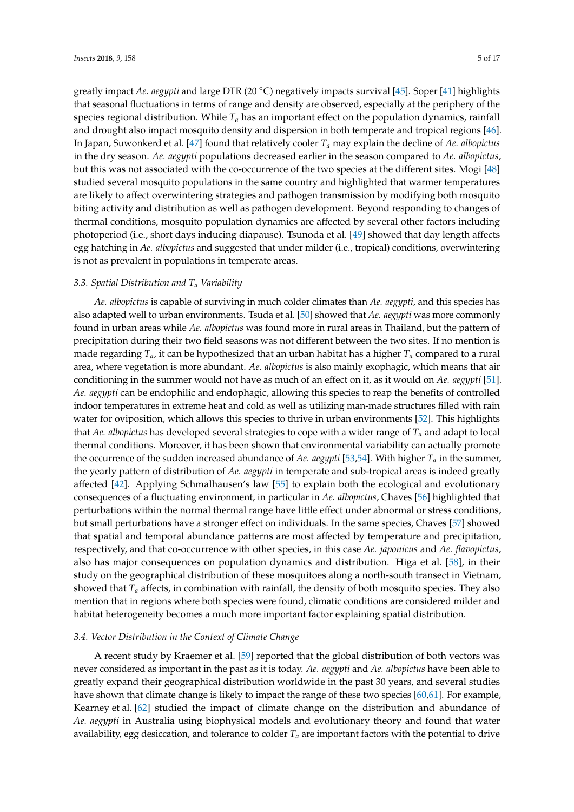greatly impact *Ae. aegypti* and large DTR (20 ◦C) negatively impacts survival [\[45\]](#page-12-10). Soper [\[41\]](#page-12-6) highlights that seasonal fluctuations in terms of range and density are observed, especially at the periphery of the species regional distribution. While *T<sup>a</sup>* has an important effect on the population dynamics, rainfall and drought also impact mosquito density and dispersion in both temperate and tropical regions [\[46\]](#page-12-11). In Japan, Suwonkerd et al. [\[47\]](#page-12-12) found that relatively cooler *T<sup>a</sup>* may explain the decline of *Ae. albopictus* in the dry season. *Ae. aegypti* populations decreased earlier in the season compared to *Ae. albopictus*, but this was not associated with the co-occurrence of the two species at the different sites. Mogi [\[48\]](#page-12-13) studied several mosquito populations in the same country and highlighted that warmer temperatures are likely to affect overwintering strategies and pathogen transmission by modifying both mosquito biting activity and distribution as well as pathogen development. Beyond responding to changes of thermal conditions, mosquito population dynamics are affected by several other factors including photoperiod (i.e., short days inducing diapause). Tsunoda et al. [\[49\]](#page-12-14) showed that day length affects egg hatching in *Ae. albopictus* and suggested that under milder (i.e., tropical) conditions, overwintering is not as prevalent in populations in temperate areas.

## *3.3. Spatial Distribution and T<sup>a</sup> Variability*

*Ae. albopictus* is capable of surviving in much colder climates than *Ae. aegypti*, and this species has also adapted well to urban environments. Tsuda et al. [\[50\]](#page-12-15) showed that *Ae. aegypti* was more commonly found in urban areas while *Ae. albopictus* was found more in rural areas in Thailand, but the pattern of precipitation during their two field seasons was not different between the two sites. If no mention is made regarding  $T_a$ , it can be hypothesized that an urban habitat has a higher  $T_a$  compared to a rural area, where vegetation is more abundant. *Ae. albopictus* is also mainly exophagic, which means that air conditioning in the summer would not have as much of an effect on it, as it would on *Ae. aegypti* [\[51\]](#page-12-16). *Ae. aegypti* can be endophilic and endophagic, allowing this species to reap the benefits of controlled indoor temperatures in extreme heat and cold as well as utilizing man-made structures filled with rain water for oviposition, which allows this species to thrive in urban environments [\[52\]](#page-12-17). This highlights that *Ae. albopictus* has developed several strategies to cope with a wider range of *T<sup>a</sup>* and adapt to local thermal conditions. Moreover, it has been shown that environmental variability can actually promote the occurrence of the sudden increased abundance of *Ae. aegypti* [\[53,](#page-12-18)[54\]](#page-12-19). With higher *T<sup>a</sup>* in the summer, the yearly pattern of distribution of *Ae. aegypti* in temperate and sub-tropical areas is indeed greatly affected [\[42\]](#page-12-7). Applying Schmalhausen's law [\[55\]](#page-12-20) to explain both the ecological and evolutionary consequences of a fluctuating environment, in particular in *Ae. albopictus*, Chaves [\[56\]](#page-12-21) highlighted that perturbations within the normal thermal range have little effect under abnormal or stress conditions, but small perturbations have a stronger effect on individuals. In the same species, Chaves [\[57\]](#page-12-22) showed that spatial and temporal abundance patterns are most affected by temperature and precipitation, respectively, and that co-occurrence with other species, in this case *Ae. japonicus* and *Ae. flavopictus*, also has major consequences on population dynamics and distribution. Higa et al. [\[58\]](#page-13-0), in their study on the geographical distribution of these mosquitoes along a north-south transect in Vietnam, showed that *T<sup>a</sup>* affects, in combination with rainfall, the density of both mosquito species. They also mention that in regions where both species were found, climatic conditions are considered milder and habitat heterogeneity becomes a much more important factor explaining spatial distribution.

## *3.4. Vector Distribution in the Context of Climate Change*

A recent study by Kraemer et al. [\[59\]](#page-13-1) reported that the global distribution of both vectors was never considered as important in the past as it is today. *Ae. aegypti* and *Ae. albopictus* have been able to greatly expand their geographical distribution worldwide in the past 30 years, and several studies have shown that climate change is likely to impact the range of these two species [\[60](#page-13-2)[,61\]](#page-13-3). For example, Kearney et al. [\[62\]](#page-13-4) studied the impact of climate change on the distribution and abundance of *Ae. aegypti* in Australia using biophysical models and evolutionary theory and found that water availability, egg desiccation, and tolerance to colder *Ta* are important factors with the potential to drive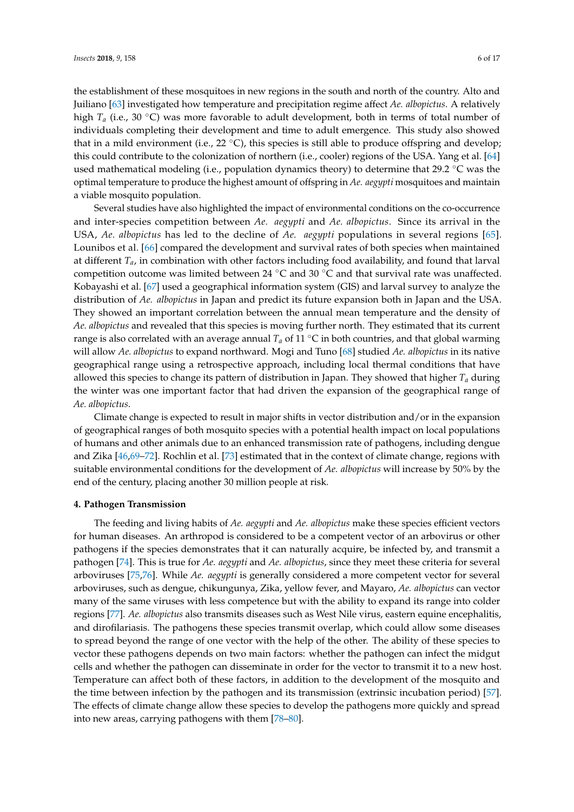the establishment of these mosquitoes in new regions in the south and north of the country. Alto and Juiliano [\[63\]](#page-13-5) investigated how temperature and precipitation regime affect *Ae. albopictus*. A relatively high *T<sub>a</sub>* (i.e., 30 °C) was more favorable to adult development, both in terms of total number of individuals completing their development and time to adult emergence. This study also showed that in a mild environment (i.e., 22  $\degree$ C), this species is still able to produce offspring and develop; this could contribute to the colonization of northern (i.e., cooler) regions of the USA. Yang et al. [\[64\]](#page-13-6) used mathematical modeling (i.e., population dynamics theory) to determine that 29.2  $\degree$ C was the optimal temperature to produce the highest amount of offspring in *Ae. aegypti* mosquitoes and maintain a viable mosquito population.

Several studies have also highlighted the impact of environmental conditions on the co-occurrence and inter-species competition between *Ae. aegypti* and *Ae. albopictus*. Since its arrival in the USA, *Ae. albopictus* has led to the decline of *Ae. aegypti* populations in several regions [\[65\]](#page-13-7). Lounibos et al. [\[66\]](#page-13-8) compared the development and survival rates of both species when maintained at different *Ta*, in combination with other factors including food availability, and found that larval competition outcome was limited between 24 ◦C and 30 ◦C and that survival rate was unaffected. Kobayashi et al. [\[67\]](#page-13-9) used a geographical information system (GIS) and larval survey to analyze the distribution of *Ae. albopictus* in Japan and predict its future expansion both in Japan and the USA. They showed an important correlation between the annual mean temperature and the density of *Ae. albopictus* and revealed that this species is moving further north. They estimated that its current range is also correlated with an average annual  $T_a$  of 11  $\degree$ C in both countries, and that global warming will allow *Ae. albopictus* to expand northward. Mogi and Tuno [\[68\]](#page-13-10) studied *Ae. albopictus* in its native geographical range using a retrospective approach, including local thermal conditions that have allowed this species to change its pattern of distribution in Japan. They showed that higher *Ta* during the winter was one important factor that had driven the expansion of the geographical range of *Ae. albopictus*.

Climate change is expected to result in major shifts in vector distribution and/or in the expansion of geographical ranges of both mosquito species with a potential health impact on local populations of humans and other animals due to an enhanced transmission rate of pathogens, including dengue and Zika [\[46,](#page-12-11)[69](#page-13-11)[–72\]](#page-13-12). Rochlin et al. [\[73\]](#page-13-13) estimated that in the context of climate change, regions with suitable environmental conditions for the development of *Ae. albopictus* will increase by 50% by the end of the century, placing another 30 million people at risk.

## **4. Pathogen Transmission**

The feeding and living habits of *Ae. aegypti* and *Ae. albopictus* make these species efficient vectors for human diseases. An arthropod is considered to be a competent vector of an arbovirus or other pathogens if the species demonstrates that it can naturally acquire, be infected by, and transmit a pathogen [\[74\]](#page-13-14). This is true for *Ae. aegypti* and *Ae. albopictus*, since they meet these criteria for several arboviruses [\[75](#page-13-15)[,76\]](#page-13-16). While *Ae. aegypti* is generally considered a more competent vector for several arboviruses, such as dengue, chikungunya, Zika, yellow fever, and Mayaro, *Ae. albopictus* can vector many of the same viruses with less competence but with the ability to expand its range into colder regions [\[77\]](#page-13-17). *Ae. albopictus* also transmits diseases such as West Nile virus, eastern equine encephalitis, and dirofilariasis. The pathogens these species transmit overlap, which could allow some diseases to spread beyond the range of one vector with the help of the other. The ability of these species to vector these pathogens depends on two main factors: whether the pathogen can infect the midgut cells and whether the pathogen can disseminate in order for the vector to transmit it to a new host. Temperature can affect both of these factors, in addition to the development of the mosquito and the time between infection by the pathogen and its transmission (extrinsic incubation period) [\[57\]](#page-12-22). The effects of climate change allow these species to develop the pathogens more quickly and spread into new areas, carrying pathogens with them [\[78](#page-13-18)[–80\]](#page-14-0).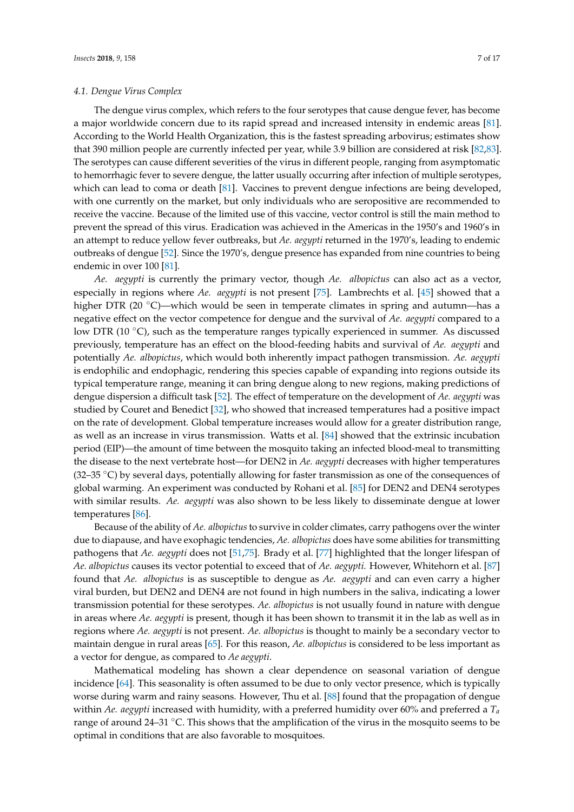#### *4.1. Dengue Virus Complex*

The dengue virus complex, which refers to the four serotypes that cause dengue fever, has become a major worldwide concern due to its rapid spread and increased intensity in endemic areas [\[81\]](#page-14-1). According to the World Health Organization, this is the fastest spreading arbovirus; estimates show that 390 million people are currently infected per year, while 3.9 billion are considered at risk [\[82,](#page-14-2)[83\]](#page-14-3). The serotypes can cause different severities of the virus in different people, ranging from asymptomatic to hemorrhagic fever to severe dengue, the latter usually occurring after infection of multiple serotypes, which can lead to coma or death [\[81\]](#page-14-1). Vaccines to prevent dengue infections are being developed, with one currently on the market, but only individuals who are seropositive are recommended to receive the vaccine. Because of the limited use of this vaccine, vector control is still the main method to prevent the spread of this virus. Eradication was achieved in the Americas in the 1950's and 1960's in an attempt to reduce yellow fever outbreaks, but *Ae. aegypti* returned in the 1970's, leading to endemic outbreaks of dengue [\[52\]](#page-12-17). Since the 1970's, dengue presence has expanded from nine countries to being endemic in over 100 [\[81\]](#page-14-1).

*Ae. aegypti* is currently the primary vector, though *Ae. albopictus* can also act as a vector, especially in regions where *Ae. aegypti* is not present [\[75\]](#page-13-15). Lambrechts et al. [\[45\]](#page-12-10) showed that a higher DTR (20  $\degree$ C)—which would be seen in temperate climates in spring and autumn—has a negative effect on the vector competence for dengue and the survival of *Ae. aegypti* compared to a low DTR (10 ◦C), such as the temperature ranges typically experienced in summer. As discussed previously, temperature has an effect on the blood-feeding habits and survival of *Ae. aegypti* and potentially *Ae. albopictus*, which would both inherently impact pathogen transmission. *Ae. aegypti* is endophilic and endophagic, rendering this species capable of expanding into regions outside its typical temperature range, meaning it can bring dengue along to new regions, making predictions of dengue dispersion a difficult task [\[52\]](#page-12-17). The effect of temperature on the development of *Ae. aegypti* was studied by Couret and Benedict [\[32\]](#page-11-18), who showed that increased temperatures had a positive impact on the rate of development. Global temperature increases would allow for a greater distribution range, as well as an increase in virus transmission. Watts et al. [\[84\]](#page-14-4) showed that the extrinsic incubation period (EIP)—the amount of time between the mosquito taking an infected blood-meal to transmitting the disease to the next vertebrate host—for DEN2 in *Ae. aegypti* decreases with higher temperatures  $(32–35 \degree C)$  by several days, potentially allowing for faster transmission as one of the consequences of global warming. An experiment was conducted by Rohani et al. [\[85\]](#page-14-5) for DEN2 and DEN4 serotypes with similar results. *Ae. aegypti* was also shown to be less likely to disseminate dengue at lower temperatures [\[86\]](#page-14-6).

Because of the ability of *Ae. albopictus* to survive in colder climates, carry pathogens over the winter due to diapause, and have exophagic tendencies, *Ae. albopictus* does have some abilities for transmitting pathogens that *Ae. aegypti* does not [\[51,](#page-12-16)[75\]](#page-13-15). Brady et al. [\[77\]](#page-13-17) highlighted that the longer lifespan of *Ae. albopictus* causes its vector potential to exceed that of *Ae. aegypti.* However, Whitehorn et al. [\[87\]](#page-14-7) found that *Ae. albopictus* is as susceptible to dengue as *Ae. aegypti* and can even carry a higher viral burden, but DEN2 and DEN4 are not found in high numbers in the saliva, indicating a lower transmission potential for these serotypes. *Ae. albopictus* is not usually found in nature with dengue in areas where *Ae. aegypti* is present, though it has been shown to transmit it in the lab as well as in regions where *Ae. aegypti* is not present. *Ae. albopictus* is thought to mainly be a secondary vector to maintain dengue in rural areas [\[65\]](#page-13-7). For this reason, *Ae. albopictus* is considered to be less important as a vector for dengue, as compared to *Ae aegypti*.

Mathematical modeling has shown a clear dependence on seasonal variation of dengue incidence [\[64\]](#page-13-6). This seasonality is often assumed to be due to only vector presence, which is typically worse during warm and rainy seasons. However, Thu et al. [\[88\]](#page-14-8) found that the propagation of dengue within *Ae. aegypti* increased with humidity, with a preferred humidity over 60% and preferred a *T<sup>a</sup>* range of around 24–31 ◦C. This shows that the amplification of the virus in the mosquito seems to be optimal in conditions that are also favorable to mosquitoes.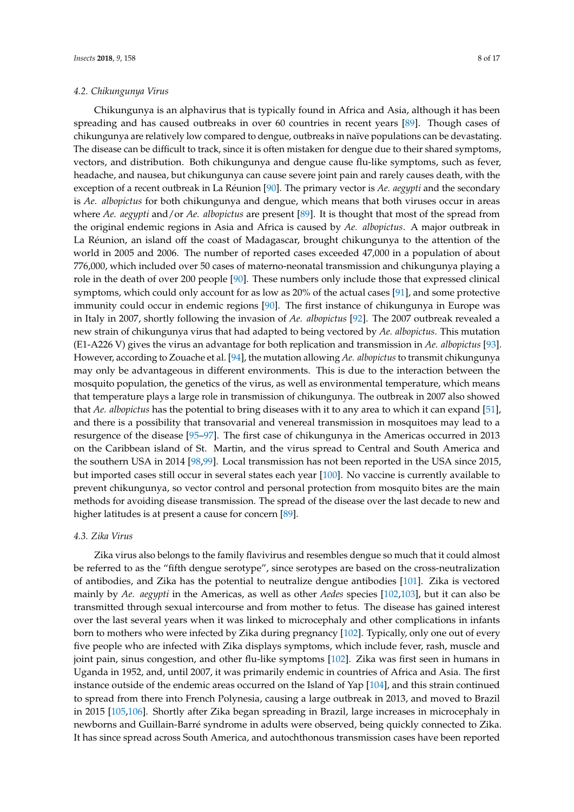#### *4.2. Chikungunya Virus*

Chikungunya is an alphavirus that is typically found in Africa and Asia, although it has been spreading and has caused outbreaks in over 60 countries in recent years [\[89\]](#page-14-9). Though cases of chikungunya are relatively low compared to dengue, outbreaks in naïve populations can be devastating. The disease can be difficult to track, since it is often mistaken for dengue due to their shared symptoms, vectors, and distribution. Both chikungunya and dengue cause flu-like symptoms, such as fever, headache, and nausea, but chikungunya can cause severe joint pain and rarely causes death, with the exception of a recent outbreak in La Réunion [\[90\]](#page-14-10). The primary vector is *Ae. aegypti* and the secondary is *Ae. albopictus* for both chikungunya and dengue, which means that both viruses occur in areas where *Ae. aegypti* and/or *Ae. albopictus* are present [\[89\]](#page-14-9). It is thought that most of the spread from the original endemic regions in Asia and Africa is caused by *Ae. albopictus*. A major outbreak in La Réunion, an island off the coast of Madagascar, brought chikungunya to the attention of the world in 2005 and 2006. The number of reported cases exceeded 47,000 in a population of about 776,000, which included over 50 cases of materno-neonatal transmission and chikungunya playing a role in the death of over 200 people [\[90\]](#page-14-10). These numbers only include those that expressed clinical symptoms, which could only account for as low as 20% of the actual cases [\[91\]](#page-14-11), and some protective immunity could occur in endemic regions [\[90\]](#page-14-10). The first instance of chikungunya in Europe was in Italy in 2007, shortly following the invasion of *Ae. albopictus* [\[92\]](#page-14-12). The 2007 outbreak revealed a new strain of chikungunya virus that had adapted to being vectored by *Ae. albopictus*. This mutation (E1-A226 V) gives the virus an advantage for both replication and transmission in *Ae. albopictus* [\[93\]](#page-14-13). However, according to Zouache et al. [\[94\]](#page-14-14), the mutation allowing *Ae. albopictus* to transmit chikungunya may only be advantageous in different environments. This is due to the interaction between the mosquito population, the genetics of the virus, as well as environmental temperature, which means that temperature plays a large role in transmission of chikungunya. The outbreak in 2007 also showed that *Ae. albopictus* has the potential to bring diseases with it to any area to which it can expand [\[51\]](#page-12-16), and there is a possibility that transovarial and venereal transmission in mosquitoes may lead to a resurgence of the disease [\[95](#page-14-15)[–97\]](#page-14-16). The first case of chikungunya in the Americas occurred in 2013 on the Caribbean island of St. Martin, and the virus spread to Central and South America and the southern USA in 2014 [\[98](#page-14-17)[,99\]](#page-15-0). Local transmission has not been reported in the USA since 2015, but imported cases still occur in several states each year [\[100\]](#page-15-1). No vaccine is currently available to prevent chikungunya, so vector control and personal protection from mosquito bites are the main methods for avoiding disease transmission. The spread of the disease over the last decade to new and higher latitudes is at present a cause for concern [\[89\]](#page-14-9).

## *4.3. Zika Virus*

Zika virus also belongs to the family flavivirus and resembles dengue so much that it could almost be referred to as the "fifth dengue serotype", since serotypes are based on the cross-neutralization of antibodies, and Zika has the potential to neutralize dengue antibodies [\[101\]](#page-15-2). Zika is vectored mainly by *Ae. aegypti* in the Americas, as well as other *Aedes* species [\[102](#page-15-3)[,103\]](#page-15-4), but it can also be transmitted through sexual intercourse and from mother to fetus. The disease has gained interest over the last several years when it was linked to microcephaly and other complications in infants born to mothers who were infected by Zika during pregnancy [\[102\]](#page-15-3). Typically, only one out of every five people who are infected with Zika displays symptoms, which include fever, rash, muscle and joint pain, sinus congestion, and other flu-like symptoms [\[102\]](#page-15-3). Zika was first seen in humans in Uganda in 1952, and, until 2007, it was primarily endemic in countries of Africa and Asia. The first instance outside of the endemic areas occurred on the Island of Yap [\[104\]](#page-15-5), and this strain continued to spread from there into French Polynesia, causing a large outbreak in 2013, and moved to Brazil in 2015 [\[105](#page-15-6)[,106\]](#page-15-7). Shortly after Zika began spreading in Brazil, large increases in microcephaly in newborns and Guillain-Barré syndrome in adults were observed, being quickly connected to Zika. It has since spread across South America, and autochthonous transmission cases have been reported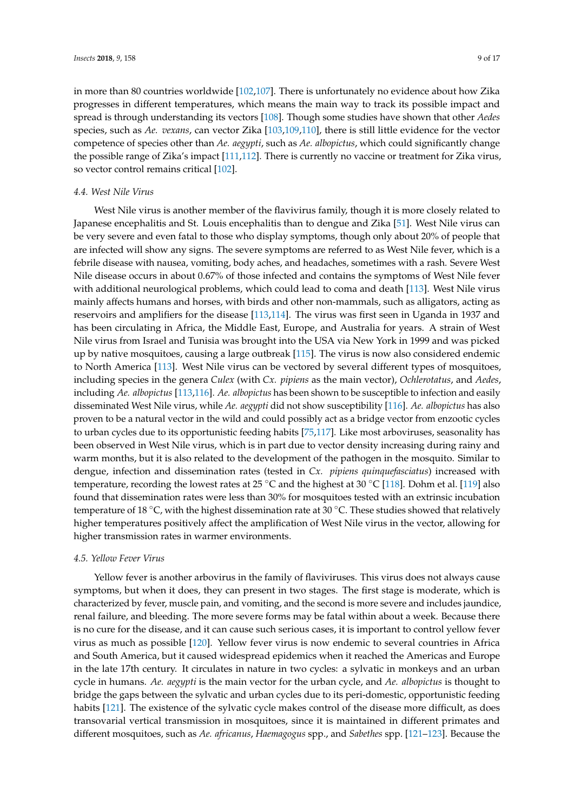in more than 80 countries worldwide [\[102](#page-15-3)[,107\]](#page-15-8). There is unfortunately no evidence about how Zika progresses in different temperatures, which means the main way to track its possible impact and spread is through understanding its vectors [\[108\]](#page-15-9). Though some studies have shown that other *Aedes* species, such as *Ae. vexans*, can vector Zika [\[103](#page-15-4)[,109](#page-15-10)[,110\]](#page-15-11), there is still little evidence for the vector competence of species other than *Ae. aegypti*, such as *Ae. albopictus*, which could significantly change the possible range of Zika's impact [\[111](#page-15-12)[,112\]](#page-15-13). There is currently no vaccine or treatment for Zika virus, so vector control remains critical [\[102\]](#page-15-3).

#### *4.4. West Nile Virus*

West Nile virus is another member of the flavivirus family, though it is more closely related to Japanese encephalitis and St. Louis encephalitis than to dengue and Zika [\[51\]](#page-12-16). West Nile virus can be very severe and even fatal to those who display symptoms, though only about 20% of people that are infected will show any signs. The severe symptoms are referred to as West Nile fever, which is a febrile disease with nausea, vomiting, body aches, and headaches, sometimes with a rash. Severe West Nile disease occurs in about 0.67% of those infected and contains the symptoms of West Nile fever with additional neurological problems, which could lead to coma and death [\[113\]](#page-15-14). West Nile virus mainly affects humans and horses, with birds and other non-mammals, such as alligators, acting as reservoirs and amplifiers for the disease [\[113,](#page-15-14)[114\]](#page-15-15). The virus was first seen in Uganda in 1937 and has been circulating in Africa, the Middle East, Europe, and Australia for years. A strain of West Nile virus from Israel and Tunisia was brought into the USA via New York in 1999 and was picked up by native mosquitoes, causing a large outbreak [\[115\]](#page-15-16). The virus is now also considered endemic to North America [\[113\]](#page-15-14). West Nile virus can be vectored by several different types of mosquitoes, including species in the genera *Culex* (with *Cx. pipiens* as the main vector), *Ochlerotatus*, and *Aedes*, including *Ae. albopictus* [\[113,](#page-15-14)[116\]](#page-15-17). *Ae. albopictus* has been shown to be susceptible to infection and easily disseminated West Nile virus, while *Ae. aegypti* did not show susceptibility [\[116\]](#page-15-17). *Ae. albopictus* has also proven to be a natural vector in the wild and could possibly act as a bridge vector from enzootic cycles to urban cycles due to its opportunistic feeding habits [\[75,](#page-13-15)[117\]](#page-15-18). Like most arboviruses, seasonality has been observed in West Nile virus, which is in part due to vector density increasing during rainy and warm months, but it is also related to the development of the pathogen in the mosquito. Similar to dengue, infection and dissemination rates (tested in *Cx. pipiens quinquefasciatus*) increased with temperature, recording the lowest rates at 25 °C and the highest at 30 °C [\[118\]](#page-15-19). Dohm et al. [\[119\]](#page-15-20) also found that dissemination rates were less than 30% for mosquitoes tested with an extrinsic incubation temperature of 18 °C, with the highest dissemination rate at 30 °C. These studies showed that relatively higher temperatures positively affect the amplification of West Nile virus in the vector, allowing for higher transmission rates in warmer environments.

#### *4.5. Yellow Fever Virus*

Yellow fever is another arbovirus in the family of flaviviruses. This virus does not always cause symptoms, but when it does, they can present in two stages. The first stage is moderate, which is characterized by fever, muscle pain, and vomiting, and the second is more severe and includes jaundice, renal failure, and bleeding. The more severe forms may be fatal within about a week. Because there is no cure for the disease, and it can cause such serious cases, it is important to control yellow fever virus as much as possible [\[120\]](#page-15-21). Yellow fever virus is now endemic to several countries in Africa and South America, but it caused widespread epidemics when it reached the Americas and Europe in the late 17th century. It circulates in nature in two cycles: a sylvatic in monkeys and an urban cycle in humans. *Ae. aegypti* is the main vector for the urban cycle, and *Ae. albopictus* is thought to bridge the gaps between the sylvatic and urban cycles due to its peri-domestic, opportunistic feeding habits [\[121\]](#page-16-0). The existence of the sylvatic cycle makes control of the disease more difficult, as does transovarial vertical transmission in mosquitoes, since it is maintained in different primates and different mosquitoes, such as *Ae. africanus*, *Haemagogus* spp., and *Sabethes* spp. [\[121–](#page-16-0)[123\]](#page-16-1). Because the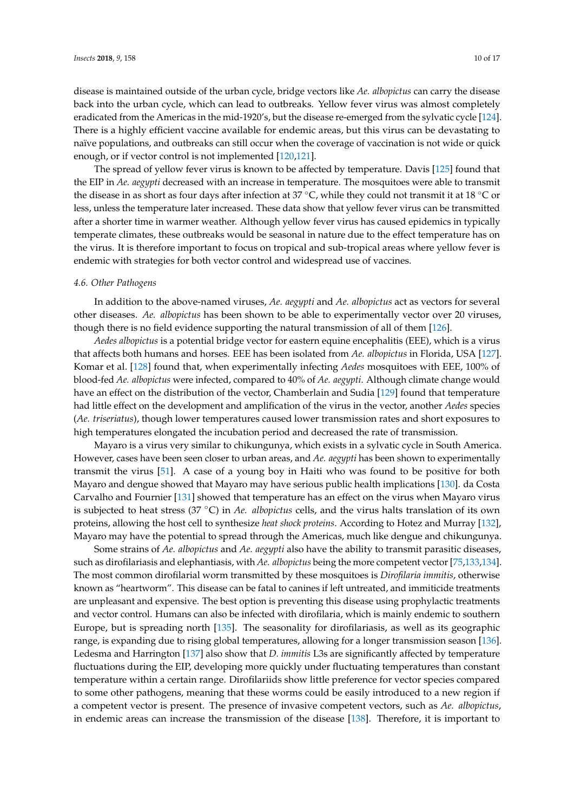disease is maintained outside of the urban cycle, bridge vectors like *Ae. albopictus* can carry the disease back into the urban cycle, which can lead to outbreaks. Yellow fever virus was almost completely eradicated from the Americas in the mid-1920's, but the disease re-emerged from the sylvatic cycle [\[124\]](#page-16-2). There is a highly efficient vaccine available for endemic areas, but this virus can be devastating to naïve populations, and outbreaks can still occur when the coverage of vaccination is not wide or quick enough, or if vector control is not implemented [\[120,](#page-15-21)[121\]](#page-16-0).

The spread of yellow fever virus is known to be affected by temperature. Davis [\[125\]](#page-16-3) found that the EIP in *Ae. aegypti* decreased with an increase in temperature. The mosquitoes were able to transmit the disease in as short as four days after infection at 37 ◦C, while they could not transmit it at 18 ◦C or less, unless the temperature later increased. These data show that yellow fever virus can be transmitted after a shorter time in warmer weather. Although yellow fever virus has caused epidemics in typically temperate climates, these outbreaks would be seasonal in nature due to the effect temperature has on the virus. It is therefore important to focus on tropical and sub-tropical areas where yellow fever is endemic with strategies for both vector control and widespread use of vaccines.

#### *4.6. Other Pathogens*

In addition to the above-named viruses, *Ae. aegypti* and *Ae. albopictus* act as vectors for several other diseases. *Ae. albopictus* has been shown to be able to experimentally vector over 20 viruses, though there is no field evidence supporting the natural transmission of all of them [\[126\]](#page-16-4).

*Aedes albopictus* is a potential bridge vector for eastern equine encephalitis (EEE), which is a virus that affects both humans and horses. EEE has been isolated from *Ae. albopictus* in Florida, USA [\[127\]](#page-16-5). Komar et al. [\[128\]](#page-16-6) found that, when experimentally infecting *Aedes* mosquitoes with EEE, 100% of blood-fed *Ae. albopictus* were infected, compared to 40% of *Ae. aegypti*. Although climate change would have an effect on the distribution of the vector, Chamberlain and Sudia [\[129\]](#page-16-7) found that temperature had little effect on the development and amplification of the virus in the vector, another *Aedes* species (*Ae. triseriatus*), though lower temperatures caused lower transmission rates and short exposures to high temperatures elongated the incubation period and decreased the rate of transmission.

Mayaro is a virus very similar to chikungunya, which exists in a sylvatic cycle in South America. However, cases have been seen closer to urban areas, and *Ae. aegypti* has been shown to experimentally transmit the virus [\[51\]](#page-12-16). A case of a young boy in Haiti who was found to be positive for both Mayaro and dengue showed that Mayaro may have serious public health implications [\[130\]](#page-16-8). da Costa Carvalho and Fournier [\[131\]](#page-16-9) showed that temperature has an effect on the virus when Mayaro virus is subjected to heat stress (37 ◦C) in *Ae. albopictus* cells, and the virus halts translation of its own proteins, allowing the host cell to synthesize *heat shock proteins*. According to Hotez and Murray [\[132\]](#page-16-10), Mayaro may have the potential to spread through the Americas, much like dengue and chikungunya.

Some strains of *Ae. albopictus* and *Ae. aegypti* also have the ability to transmit parasitic diseases, such as dirofilariasis and elephantiasis, with *Ae. albopictus* being the more competent vector [\[75](#page-13-15)[,133](#page-16-11)[,134\]](#page-16-12). The most common dirofilarial worm transmitted by these mosquitoes is *Dirofilaria immitis*, otherwise known as "heartworm". This disease can be fatal to canines if left untreated, and immiticide treatments are unpleasant and expensive. The best option is preventing this disease using prophylactic treatments and vector control. Humans can also be infected with dirofilaria, which is mainly endemic to southern Europe, but is spreading north [\[135\]](#page-16-13). The seasonality for dirofilariasis, as well as its geographic range, is expanding due to rising global temperatures, allowing for a longer transmission season [\[136\]](#page-16-14). Ledesma and Harrington [\[137\]](#page-16-15) also show that *D. immitis* L3s are significantly affected by temperature fluctuations during the EIP, developing more quickly under fluctuating temperatures than constant temperature within a certain range. Dirofilariids show little preference for vector species compared to some other pathogens, meaning that these worms could be easily introduced to a new region if a competent vector is present. The presence of invasive competent vectors, such as *Ae. albopictus*, in endemic areas can increase the transmission of the disease [\[138\]](#page-16-16). Therefore, it is important to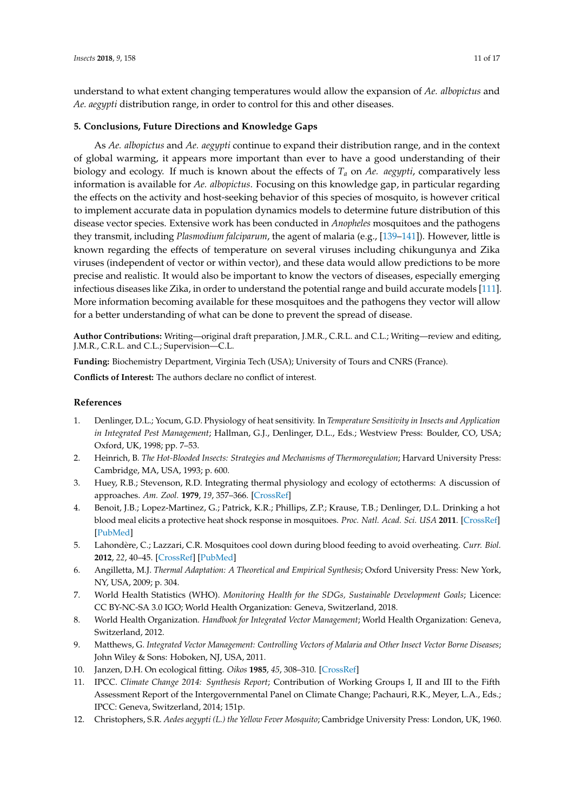understand to what extent changing temperatures would allow the expansion of *Ae. albopictus* and *Ae. aegypti* distribution range, in order to control for this and other diseases.

## **5. Conclusions, Future Directions and Knowledge Gaps**

As *Ae. albopictus* and *Ae. aegypti* continue to expand their distribution range, and in the context of global warming, it appears more important than ever to have a good understanding of their biology and ecology. If much is known about the effects of *T<sup>a</sup>* on *Ae. aegypti*, comparatively less information is available for *Ae. albopictus*. Focusing on this knowledge gap, in particular regarding the effects on the activity and host-seeking behavior of this species of mosquito, is however critical to implement accurate data in population dynamics models to determine future distribution of this disease vector species. Extensive work has been conducted in *Anopheles* mosquitoes and the pathogens they transmit, including *Plasmodium falciparum*, the agent of malaria (e.g., [\[139–](#page-16-17)[141\]](#page-16-18)). However, little is known regarding the effects of temperature on several viruses including chikungunya and Zika viruses (independent of vector or within vector), and these data would allow predictions to be more precise and realistic. It would also be important to know the vectors of diseases, especially emerging infectious diseases like Zika, in order to understand the potential range and build accurate models [\[111\]](#page-15-12). More information becoming available for these mosquitoes and the pathogens they vector will allow for a better understanding of what can be done to prevent the spread of disease.

**Author Contributions:** Writing—original draft preparation, J.M.R., C.R.L. and C.L.; Writing—review and editing, J.M.R., C.R.L. and C.L.; Supervision—C.L.

**Funding:** Biochemistry Department, Virginia Tech (USA); University of Tours and CNRS (France).

**Conflicts of Interest:** The authors declare no conflict of interest.

## **References**

- <span id="page-10-0"></span>1. Denlinger, D.L.; Yocum, G.D. Physiology of heat sensitivity. In *Temperature Sensitivity in Insects and Application in Integrated Pest Management*; Hallman, G.J., Denlinger, D.L., Eds.; Westview Press: Boulder, CO, USA; Oxford, UK, 1998; pp. 7–53.
- <span id="page-10-2"></span>2. Heinrich, B. *The Hot-Blooded Insects: Strategies and Mechanisms of Thermoregulation*; Harvard University Press: Cambridge, MA, USA, 1993; p. 600.
- <span id="page-10-1"></span>3. Huey, R.B.; Stevenson, R.D. Integrating thermal physiology and ecology of ectotherms: A discussion of approaches. *Am. Zool.* **1979**, *19*, 357–366. [\[CrossRef\]](http://dx.doi.org/10.1093/icb/19.1.357)
- <span id="page-10-3"></span>4. Benoit, J.B.; Lopez-Martinez, G.; Patrick, K.R.; Phillips, Z.P.; Krause, T.B.; Denlinger, D.L. Drinking a hot blood meal elicits a protective heat shock response in mosquitoes. *Proc. Natl. Acad. Sci. USA* **2011**. [\[CrossRef\]](http://dx.doi.org/10.1073/pnas.1105195108) [\[PubMed\]](http://www.ncbi.nlm.nih.gov/pubmed/21518875)
- <span id="page-10-4"></span>5. Lahondère, C.; Lazzari, C.R. Mosquitoes cool down during blood feeding to avoid overheating. *Curr. Biol.* **2012**, *22*, 40–45. [\[CrossRef\]](http://dx.doi.org/10.1016/j.cub.2011.11.029) [\[PubMed\]](http://www.ncbi.nlm.nih.gov/pubmed/22177900)
- <span id="page-10-5"></span>6. Angilletta, M.J. *Thermal Adaptation: A Theoretical and Empirical Synthesis*; Oxford University Press: New York, NY, USA, 2009; p. 304.
- <span id="page-10-6"></span>7. World Health Statistics (WHO). *Monitoring Health for the SDGs, Sustainable Development Goals*; Licence: CC BY-NC-SA 3.0 IGO; World Health Organization: Geneva, Switzerland, 2018.
- <span id="page-10-7"></span>8. World Health Organization. *Handbook for Integrated Vector Management*; World Health Organization: Geneva, Switzerland, 2012.
- <span id="page-10-8"></span>9. Matthews, G. *Integrated Vector Management: Controlling Vectors of Malaria and Other Insect Vector Borne Diseases*; John Wiley & Sons: Hoboken, NJ, USA, 2011.
- <span id="page-10-9"></span>10. Janzen, D.H. On ecological fitting. *Oikos* **1985**, *45*, 308–310. [\[CrossRef\]](http://dx.doi.org/10.2307/3565565)
- <span id="page-10-10"></span>11. IPCC. *Climate Change 2014: Synthesis Report*; Contribution of Working Groups I, II and III to the Fifth Assessment Report of the Intergovernmental Panel on Climate Change; Pachauri, R.K., Meyer, L.A., Eds.; IPCC: Geneva, Switzerland, 2014; 151p.
- <span id="page-10-11"></span>12. Christophers, S.R. *Aedes aegypti (L.) the Yellow Fever Mosquito;* Cambridge University Press: London, UK, 1960.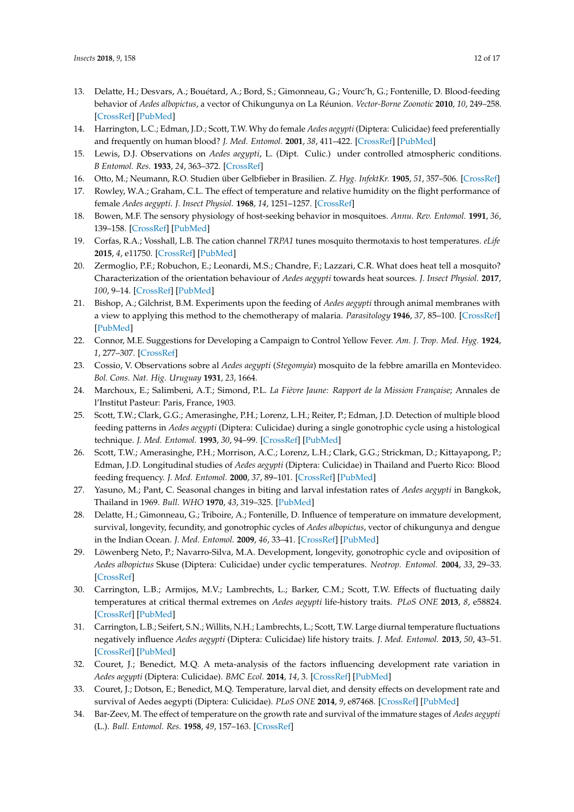- <span id="page-11-1"></span>13. Delatte, H.; Desvars, A.; Bouétard, A.; Bord, S.; Gimonneau, G.; Vourc'h, G.; Fontenille, D. Blood-feeding behavior of *Aedes albopictus*, a vector of Chikungunya on La Réunion. *Vector-Borne Zoonotic* **2010**, *10*, 249–258. [\[CrossRef\]](http://dx.doi.org/10.1089/vbz.2009.0026) [\[PubMed\]](http://www.ncbi.nlm.nih.gov/pubmed/19589060)
- <span id="page-11-0"></span>14. Harrington, L.C.; Edman, J.D.; Scott, T.W. Why do female *Aedes aegypti* (Diptera: Culicidae) feed preferentially and frequently on human blood? *J. Med. Entomol.* **2001**, *38*, 411–422. [\[CrossRef\]](http://dx.doi.org/10.1603/0022-2585-38.3.411) [\[PubMed\]](http://www.ncbi.nlm.nih.gov/pubmed/11372967)
- <span id="page-11-2"></span>15. Lewis, D.J. Observations on *Aedes aegypti*, L. (Dipt. Culic.) under controlled atmospheric conditions. *B Entomol. Res.* **1933**, *24*, 363–372. [\[CrossRef\]](http://dx.doi.org/10.1017/S0007485300031692)
- <span id="page-11-3"></span>16. Otto, M.; Neumann, R.O. Studien über Gelbfieber in Brasilien. *Z. Hyg. InfektKr.* **1905**, *51*, 357–506. [\[CrossRef\]](http://dx.doi.org/10.1007/BF02141134)
- <span id="page-11-4"></span>17. Rowley, W.A.; Graham, C.L. The effect of temperature and relative humidity on the flight performance of female *Aedes aegypti*. *J. Insect Physiol.* **1968**, *14*, 1251–1257. [\[CrossRef\]](http://dx.doi.org/10.1016/0022-1910(68)90018-8)
- <span id="page-11-5"></span>18. Bowen, M.F. The sensory physiology of host-seeking behavior in mosquitoes. *Annu. Rev. Entomol.* **1991**, *36*, 139–158. [\[CrossRef\]](http://dx.doi.org/10.1146/annurev.en.36.010191.001035) [\[PubMed\]](http://www.ncbi.nlm.nih.gov/pubmed/1672499)
- <span id="page-11-6"></span>19. Corfas, R.A.; Vosshall, L.B. The cation channel *TRPA1* tunes mosquito thermotaxis to host temperatures. *eLife* **2015**, *4*, e11750. [\[CrossRef\]](http://dx.doi.org/10.7554/eLife.11750) [\[PubMed\]](http://www.ncbi.nlm.nih.gov/pubmed/26670734)
- <span id="page-11-7"></span>20. Zermoglio, P.F.; Robuchon, E.; Leonardi, M.S.; Chandre, F.; Lazzari, C.R. What does heat tell a mosquito? Characterization of the orientation behaviour of *Aedes aegypti* towards heat sources. *J. Insect Physiol.* **2017**, *100*, 9–14. [\[CrossRef\]](http://dx.doi.org/10.1016/j.jinsphys.2017.04.010) [\[PubMed\]](http://www.ncbi.nlm.nih.gov/pubmed/28479122)
- <span id="page-11-8"></span>21. Bishop, A.; Gilchrist, B.M. Experiments upon the feeding of *Aedes aegypti* through animal membranes with a view to applying this method to the chemotherapy of malaria. *Parasitology* **1946**, *37*, 85–100. [\[CrossRef\]](http://dx.doi.org/10.1017/S0031182000013202) [\[PubMed\]](http://www.ncbi.nlm.nih.gov/pubmed/21014255)
- <span id="page-11-9"></span>22. Connor, M.E. Suggestions for Developing a Campaign to Control Yellow Fever. *Am. J. Trop. Med. Hyg.* **1924**, *1*, 277–307. [\[CrossRef\]](http://dx.doi.org/10.4269/ajtmh.1924.s1-4.277)
- 23. Cossio, V. Observations sobre al *Aedes aegypti* (*Stegomyia*) mosquito de la febbre amarilla en Montevideo. *Bol. Cons. Nat. Hig. Uruguay* **1931**, *23*, 1664.
- <span id="page-11-10"></span>24. Marchoux, E.; Salimbeni, A.T.; Simond, P.L. *La Fièvre Jaune: Rapport de la Mission Française*; Annales de l'Institut Pasteur: Paris, France, 1903.
- <span id="page-11-11"></span>25. Scott, T.W.; Clark, G.G.; Amerasinghe, P.H.; Lorenz, L.H.; Reiter, P.; Edman, J.D. Detection of multiple blood feeding patterns in *Aedes aegypti* (Diptera: Culicidae) during a single gonotrophic cycle using a histological technique. *J. Med. Entomol.* **1993**, *30*, 94–99. [\[CrossRef\]](http://dx.doi.org/10.1093/jmedent/30.1.94) [\[PubMed\]](http://www.ncbi.nlm.nih.gov/pubmed/8433350)
- <span id="page-11-12"></span>26. Scott, T.W.; Amerasinghe, P.H.; Morrison, A.C.; Lorenz, L.H.; Clark, G.G.; Strickman, D.; Kittayapong, P.; Edman, J.D. Longitudinal studies of *Aedes aegypti* (Diptera: Culicidae) in Thailand and Puerto Rico: Blood feeding frequency. *J. Med. Entomol.* **2000**, *37*, 89–101. [\[CrossRef\]](http://dx.doi.org/10.1603/0022-2585-37.1.89) [\[PubMed\]](http://www.ncbi.nlm.nih.gov/pubmed/15218911)
- <span id="page-11-13"></span>27. Yasuno, M.; Pant, C. Seasonal changes in biting and larval infestation rates of *Aedes aegypti* in Bangkok, Thailand in 1969. *Bull. WHO* **1970**, *43*, 319–325. [\[PubMed\]](http://www.ncbi.nlm.nih.gov/pubmed/5312528)
- <span id="page-11-14"></span>28. Delatte, H.; Gimonneau, G.; Triboire, A.; Fontenille, D. Influence of temperature on immature development, survival, longevity, fecundity, and gonotrophic cycles of *Aedes albopictus*, vector of chikungunya and dengue in the Indian Ocean. *J. Med. Entomol.* **2009**, *46*, 33–41. [\[CrossRef\]](http://dx.doi.org/10.1603/033.046.0105) [\[PubMed\]](http://www.ncbi.nlm.nih.gov/pubmed/19198515)
- <span id="page-11-15"></span>29. Löwenberg Neto, P.; Navarro-Silva, M.A. Development, longevity, gonotrophic cycle and oviposition of *Aedes albopictus* Skuse (Diptera: Culicidae) under cyclic temperatures. *Neotrop. Entomol.* **2004**, *33*, 29–33. [\[CrossRef\]](http://dx.doi.org/10.1590/S1519-566X2004000100006)
- <span id="page-11-16"></span>30. Carrington, L.B.; Armijos, M.V.; Lambrechts, L.; Barker, C.M.; Scott, T.W. Effects of fluctuating daily temperatures at critical thermal extremes on *Aedes aegypti* life-history traits. *PLoS ONE* **2013**, *8*, e58824. [\[CrossRef\]](http://dx.doi.org/10.1371/journal.pone.0058824) [\[PubMed\]](http://www.ncbi.nlm.nih.gov/pubmed/23520534)
- <span id="page-11-17"></span>31. Carrington, L.B.; Seifert, S.N.; Willits, N.H.; Lambrechts, L.; Scott, T.W. Large diurnal temperature fluctuations negatively influence *Aedes aegypti* (Diptera: Culicidae) life history traits. *J. Med. Entomol.* **2013**, *50*, 43–51. [\[CrossRef\]](http://dx.doi.org/10.1603/ME11242) [\[PubMed\]](http://www.ncbi.nlm.nih.gov/pubmed/23427651)
- <span id="page-11-18"></span>32. Couret, J.; Benedict, M.Q. A meta-analysis of the factors influencing development rate variation in *Aedes aegypti* (Diptera: Culicidae). *BMC Ecol.* **2014**, *14*, 3. [\[CrossRef\]](http://dx.doi.org/10.1186/1472-6785-14-3) [\[PubMed\]](http://www.ncbi.nlm.nih.gov/pubmed/24495345)
- <span id="page-11-19"></span>33. Couret, J.; Dotson, E.; Benedict, M.Q. Temperature, larval diet, and density effects on development rate and survival of Aedes aegypti (Diptera: Culicidae). *PLoS ONE* **2014**, *9*, e87468. [\[CrossRef\]](http://dx.doi.org/10.1371/journal.pone.0087468) [\[PubMed\]](http://www.ncbi.nlm.nih.gov/pubmed/24498328)
- <span id="page-11-20"></span>34. Bar-Zeev, M. The effect of temperature on the growth rate and survival of the immature stages of *Aedes aegypti* (L.). *Bull. Entomol. Res.* **1958**, *49*, 157–163. [\[CrossRef\]](http://dx.doi.org/10.1017/S0007485300053499)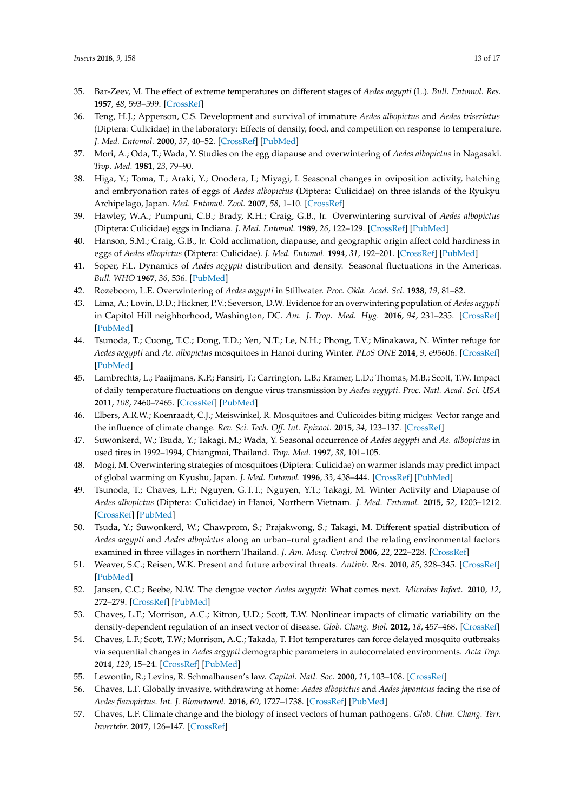- <span id="page-12-0"></span>35. Bar-Zeev, M. The effect of extreme temperatures on different stages of *Aedes aegypti* (L.). *Bull. Entomol. Res.* **1957**, *48*, 593–599. [\[CrossRef\]](http://dx.doi.org/10.1017/S0007485300002765)
- <span id="page-12-1"></span>36. Teng, H.J.; Apperson, C.S. Development and survival of immature *Aedes albopictus* and *Aedes triseriatus* (Diptera: Culicidae) in the laboratory: Effects of density, food, and competition on response to temperature. *J. Med. Entomol.* **2000**, *37*, 40–52. [\[CrossRef\]](http://dx.doi.org/10.1603/0022-2585-37.1.40) [\[PubMed\]](http://www.ncbi.nlm.nih.gov/pubmed/15218906)
- <span id="page-12-2"></span>37. Mori, A.; Oda, T.; Wada, Y. Studies on the egg diapause and overwintering of *Aedes albopictus* in Nagasaki. *Trop. Med.* **1981**, *23*, 79–90.
- <span id="page-12-3"></span>38. Higa, Y.; Toma, T.; Araki, Y.; Onodera, I.; Miyagi, I. Seasonal changes in oviposition activity, hatching and embryonation rates of eggs of *Aedes albopictus* (Diptera: Culicidae) on three islands of the Ryukyu Archipelago, Japan. *Med. Entomol. Zool.* **2007**, *58*, 1–10. [\[CrossRef\]](http://dx.doi.org/10.7601/mez.58.1_1)
- <span id="page-12-4"></span>39. Hawley, W.A.; Pumpuni, C.B.; Brady, R.H.; Craig, G.B., Jr. Overwintering survival of *Aedes albopictus* (Diptera: Culicidae) eggs in Indiana. *J. Med. Entomol.* **1989**, *26*, 122–129. [\[CrossRef\]](http://dx.doi.org/10.1093/jmedent/26.2.122) [\[PubMed\]](http://www.ncbi.nlm.nih.gov/pubmed/2709388)
- <span id="page-12-5"></span>40. Hanson, S.M.; Craig, G.B., Jr. Cold acclimation, diapause, and geographic origin affect cold hardiness in eggs of *Aedes albopictus* (Diptera: Culicidae). *J. Med. Entomol.* **1994**, *31*, 192–201. [\[CrossRef\]](http://dx.doi.org/10.1093/jmedent/31.2.192) [\[PubMed\]](http://www.ncbi.nlm.nih.gov/pubmed/8189409)
- <span id="page-12-6"></span>41. Soper, F.L. Dynamics of *Aedes aegypti* distribution and density. Seasonal fluctuations in the Americas. *Bull. WHO* **1967**, *36*, 536. [\[PubMed\]](http://www.ncbi.nlm.nih.gov/pubmed/5299446)
- <span id="page-12-7"></span>42. Rozeboom, L.E. Overwintering of *Aedes aegypti* in Stillwater. *Proc. Okla. Acad. Sci.* **1938**, *19*, 81–82.
- <span id="page-12-8"></span>43. Lima, A.; Lovin, D.D.; Hickner, P.V.; Severson, D.W. Evidence for an overwintering population of *Aedes aegypti* in Capitol Hill neighborhood, Washington, DC. *Am. J. Trop. Med. Hyg.* **2016**, *94*, 231–235. [\[CrossRef\]](http://dx.doi.org/10.4269/ajtmh.15-0351) [\[PubMed\]](http://www.ncbi.nlm.nih.gov/pubmed/26526922)
- <span id="page-12-9"></span>44. Tsunoda, T.; Cuong, T.C.; Dong, T.D.; Yen, N.T.; Le, N.H.; Phong, T.V.; Minakawa, N. Winter refuge for *Aedes aegypti* and *Ae. albopictus* mosquitoes in Hanoi during Winter. *PLoS ONE* **2014**, *9*, e95606. [\[CrossRef\]](http://dx.doi.org/10.1371/journal.pone.0095606) [\[PubMed\]](http://www.ncbi.nlm.nih.gov/pubmed/24752230)
- <span id="page-12-10"></span>45. Lambrechts, L.; Paaijmans, K.P.; Fansiri, T.; Carrington, L.B.; Kramer, L.D.; Thomas, M.B.; Scott, T.W. Impact of daily temperature fluctuations on dengue virus transmission by *Aedes aegypti*. *Proc. Natl. Acad. Sci. USA* **2011**, *108*, 7460–7465. [\[CrossRef\]](http://dx.doi.org/10.1073/pnas.1101377108) [\[PubMed\]](http://www.ncbi.nlm.nih.gov/pubmed/21502510)
- <span id="page-12-11"></span>46. Elbers, A.R.W.; Koenraadt, C.J.; Meiswinkel, R. Mosquitoes and Culicoides biting midges: Vector range and the influence of climate change. *Rev. Sci. Tech. Off. Int. Epizoot.* **2015**, *34*, 123–137. [\[CrossRef\]](http://dx.doi.org/10.20506/rst.34.1.2349)
- <span id="page-12-12"></span>47. Suwonkerd, W.; Tsuda, Y.; Takagi, M.; Wada, Y. Seasonal occurrence of *Aedes aegypti* and *Ae. albopictus* in used tires in 1992–1994, Chiangmai, Thailand. *Trop. Med.* **1997**, *38*, 101–105.
- <span id="page-12-13"></span>48. Mogi, M. Overwintering strategies of mosquitoes (Diptera: Culicidae) on warmer islands may predict impact of global warming on Kyushu, Japan. *J. Med. Entomol.* **1996**, *33*, 438–444. [\[CrossRef\]](http://dx.doi.org/10.1093/jmedent/33.3.438) [\[PubMed\]](http://www.ncbi.nlm.nih.gov/pubmed/8667392)
- <span id="page-12-14"></span>49. Tsunoda, T.; Chaves, L.F.; Nguyen, G.T.T.; Nguyen, Y.T.; Takagi, M. Winter Activity and Diapause of *Aedes albopictus* (Diptera: Culicidae) in Hanoi, Northern Vietnam. *J. Med. Entomol.* **2015**, *52*, 1203–1212. [\[CrossRef\]](http://dx.doi.org/10.1093/jme/tjv122) [\[PubMed\]](http://www.ncbi.nlm.nih.gov/pubmed/26336261)
- <span id="page-12-15"></span>50. Tsuda, Y.; Suwonkerd, W.; Chawprom, S.; Prajakwong, S.; Takagi, M. Different spatial distribution of *Aedes aegypti* and *Aedes albopictus* along an urban–rural gradient and the relating environmental factors examined in three villages in northern Thailand. *J. Am. Mosq. Control* **2006**, *22*, 222–228. [\[CrossRef\]](http://dx.doi.org/10.2987/8756-971X(2006)22[222:DSDOAA]2.0.CO;2)
- <span id="page-12-16"></span>51. Weaver, S.C.; Reisen, W.K. Present and future arboviral threats. *Antivir. Res.* **2010**, *85*, 328–345. [\[CrossRef\]](http://dx.doi.org/10.1016/j.antiviral.2009.10.008) [\[PubMed\]](http://www.ncbi.nlm.nih.gov/pubmed/19857523)
- <span id="page-12-17"></span>52. Jansen, C.C.; Beebe, N.W. The dengue vector *Aedes aegypti*: What comes next. *Microbes Infect.* **2010**, *12*, 272–279. [\[CrossRef\]](http://dx.doi.org/10.1016/j.micinf.2009.12.011) [\[PubMed\]](http://www.ncbi.nlm.nih.gov/pubmed/20096802)
- <span id="page-12-18"></span>53. Chaves, L.F.; Morrison, A.C.; Kitron, U.D.; Scott, T.W. Nonlinear impacts of climatic variability on the density-dependent regulation of an insect vector of disease. *Glob. Chang. Biol.* **2012**, *18*, 457–468. [\[CrossRef\]](http://dx.doi.org/10.1111/j.1365-2486.2011.02522.x)
- <span id="page-12-19"></span>54. Chaves, L.F.; Scott, T.W.; Morrison, A.C.; Takada, T. Hot temperatures can force delayed mosquito outbreaks via sequential changes in *Aedes aegypti* demographic parameters in autocorrelated environments. *Acta Trop.* **2014**, *129*, 15–24. [\[CrossRef\]](http://dx.doi.org/10.1016/j.actatropica.2013.02.025) [\[PubMed\]](http://www.ncbi.nlm.nih.gov/pubmed/23537497)
- <span id="page-12-20"></span>55. Lewontin, R.; Levins, R. Schmalhausen's law. *Capital. Natl. Soc.* **2000**, *11*, 103–108. [\[CrossRef\]](http://dx.doi.org/10.1080/10455750009358943)
- <span id="page-12-21"></span>56. Chaves, L.F. Globally invasive, withdrawing at home: *Aedes albopictus* and *Aedes japonicus* facing the rise of *Aedes flavopictus*. *Int. J. Biometeorol.* **2016**, *60*, 1727–1738. [\[CrossRef\]](http://dx.doi.org/10.1007/s00484-016-1162-7) [\[PubMed\]](http://www.ncbi.nlm.nih.gov/pubmed/27039106)
- <span id="page-12-22"></span>57. Chaves, L.F. Climate change and the biology of insect vectors of human pathogens. *Glob. Clim. Chang. Terr. Invertebr.* **2017**, 126–147. [\[CrossRef\]](http://dx.doi.org/10.1002/9781119070894.ch8)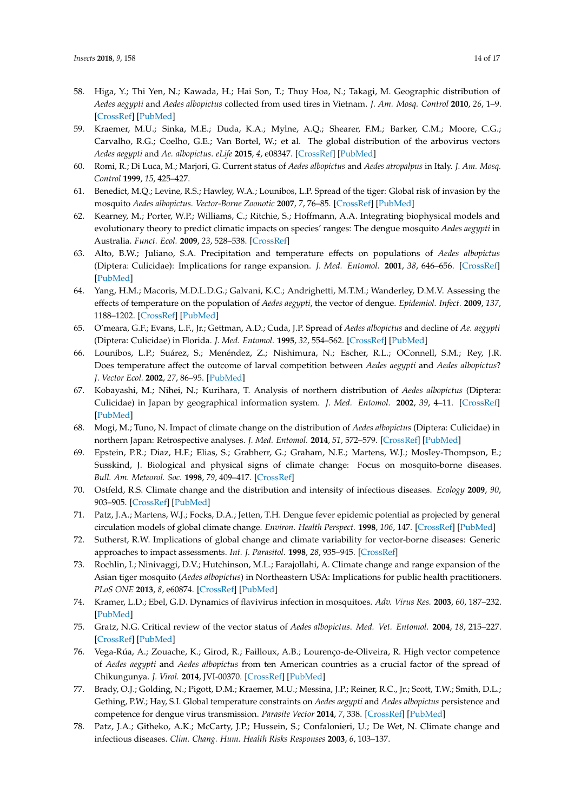- <span id="page-13-0"></span>58. Higa, Y.; Thi Yen, N.; Kawada, H.; Hai Son, T.; Thuy Hoa, N.; Takagi, M. Geographic distribution of *Aedes aegypti* and *Aedes albopictus* collected from used tires in Vietnam. *J. Am. Mosq. Control* **2010**, *26*, 1–9. [\[CrossRef\]](http://dx.doi.org/10.2987/09-5945.1) [\[PubMed\]](http://www.ncbi.nlm.nih.gov/pubmed/20402344)
- <span id="page-13-1"></span>59. Kraemer, M.U.; Sinka, M.E.; Duda, K.A.; Mylne, A.Q.; Shearer, F.M.; Barker, C.M.; Moore, C.G.; Carvalho, R.G.; Coelho, G.E.; Van Bortel, W.; et al. The global distribution of the arbovirus vectors *Aedes aegypti* and *Ae. albopictus*. *eLife* **2015**, *4*, e08347. [\[CrossRef\]](http://dx.doi.org/10.7554/eLife.08347) [\[PubMed\]](http://www.ncbi.nlm.nih.gov/pubmed/26126267)
- <span id="page-13-2"></span>60. Romi, R.; Di Luca, M.; Marjori, G. Current status of *Aedes albopictus* and *Aedes atropalpus* in Italy. *J. Am. Mosq. Control* **1999**, *15*, 425–427.
- <span id="page-13-3"></span>61. Benedict, M.Q.; Levine, R.S.; Hawley, W.A.; Lounibos, L.P. Spread of the tiger: Global risk of invasion by the mosquito *Aedes albopictus*. *Vector-Borne Zoonotic* **2007**, *7*, 76–85. [\[CrossRef\]](http://dx.doi.org/10.1089/vbz.2006.0562) [\[PubMed\]](http://www.ncbi.nlm.nih.gov/pubmed/17417960)
- <span id="page-13-4"></span>62. Kearney, M.; Porter, W.P.; Williams, C.; Ritchie, S.; Hoffmann, A.A. Integrating biophysical models and evolutionary theory to predict climatic impacts on species' ranges: The dengue mosquito *Aedes aegypti* in Australia. *Funct. Ecol.* **2009**, *23*, 528–538. [\[CrossRef\]](http://dx.doi.org/10.1111/j.1365-2435.2008.01538.x)
- <span id="page-13-5"></span>63. Alto, B.W.; Juliano, S.A. Precipitation and temperature effects on populations of *Aedes albopictus* (Diptera: Culicidae): Implications for range expansion. *J. Med. Entomol.* **2001**, *38*, 646–656. [\[CrossRef\]](http://dx.doi.org/10.1603/0022-2585-38.5.646) [\[PubMed\]](http://www.ncbi.nlm.nih.gov/pubmed/11580037)
- <span id="page-13-6"></span>64. Yang, H.M.; Macoris, M.D.L.D.G.; Galvani, K.C.; Andrighetti, M.T.M.; Wanderley, D.M.V. Assessing the effects of temperature on the population of *Aedes aegypti*, the vector of dengue. *Epidemiol. Infect.* **2009**, *137*, 1188–1202. [\[CrossRef\]](http://dx.doi.org/10.1017/S0950268809002040) [\[PubMed\]](http://www.ncbi.nlm.nih.gov/pubmed/19192322)
- <span id="page-13-7"></span>65. O'meara, G.F.; Evans, L.F., Jr.; Gettman, A.D.; Cuda, J.P. Spread of *Aedes albopictus* and decline of *Ae. aegypti* (Diptera: Culicidae) in Florida. *J. Med. Entomol.* **1995**, *32*, 554–562. [\[CrossRef\]](http://dx.doi.org/10.1093/jmedent/32.4.554) [\[PubMed\]](http://www.ncbi.nlm.nih.gov/pubmed/7650719)
- <span id="page-13-8"></span>66. Lounibos, L.P.; Suárez, S.; Menéndez, Z.; Nishimura, N.; Escher, R.L.; OConnell, S.M.; Rey, J.R. Does temperature affect the outcome of larval competition between *Aedes aegypti* and *Aedes albopictus*? *J. Vector Ecol.* **2002**, *27*, 86–95. [\[PubMed\]](http://www.ncbi.nlm.nih.gov/pubmed/12125878)
- <span id="page-13-9"></span>67. Kobayashi, M.; Nihei, N.; Kurihara, T. Analysis of northern distribution of *Aedes albopictus* (Diptera: Culicidae) in Japan by geographical information system. *J. Med. Entomol.* **2002**, *39*, 4–11. [\[CrossRef\]](http://dx.doi.org/10.1603/0022-2585-39.1.4) [\[PubMed\]](http://www.ncbi.nlm.nih.gov/pubmed/11931270)
- <span id="page-13-10"></span>68. Mogi, M.; Tuno, N. Impact of climate change on the distribution of *Aedes albopictus* (Diptera: Culicidae) in northern Japan: Retrospective analyses. *J. Med. Entomol.* **2014**, *51*, 572–579. [\[CrossRef\]](http://dx.doi.org/10.1603/ME13178) [\[PubMed\]](http://www.ncbi.nlm.nih.gov/pubmed/24897849)
- <span id="page-13-11"></span>69. Epstein, P.R.; Diaz, H.F.; Elias, S.; Grabherr, G.; Graham, N.E.; Martens, W.J.; MosIey-Thompson, E.; Susskind, J. Biological and physical signs of climate change: Focus on mosquito-borne diseases. *Bull. Am. Meteorol. Soc.* **1998**, *79*, 409–417. [\[CrossRef\]](http://dx.doi.org/10.1175/1520-0477(1998)079<0409:BAPSOC>2.0.CO;2)
- 70. Ostfeld, R.S. Climate change and the distribution and intensity of infectious diseases. *Ecology* **2009**, *90*, 903–905. [\[CrossRef\]](http://dx.doi.org/10.1890/08-0659.1) [\[PubMed\]](http://www.ncbi.nlm.nih.gov/pubmed/19449683)
- 71. Patz, J.A.; Martens, W.J.; Focks, D.A.; Jetten, T.H. Dengue fever epidemic potential as projected by general circulation models of global climate change. *Environ. Health Perspect.* **1998**, *106*, 147. [\[CrossRef\]](http://dx.doi.org/10.1289/ehp.98106147) [\[PubMed\]](http://www.ncbi.nlm.nih.gov/pubmed/9452414)
- <span id="page-13-12"></span>72. Sutherst, R.W. Implications of global change and climate variability for vector-borne diseases: Generic approaches to impact assessments. *Int. J. Parasitol.* **1998**, *28*, 935–945. [\[CrossRef\]](http://dx.doi.org/10.1016/S0020-7519(98)00056-3)
- <span id="page-13-13"></span>73. Rochlin, I.; Ninivaggi, D.V.; Hutchinson, M.L.; Farajollahi, A. Climate change and range expansion of the Asian tiger mosquito (*Aedes albopictus*) in Northeastern USA: Implications for public health practitioners. *PLoS ONE* **2013**, *8*, e60874. [\[CrossRef\]](http://dx.doi.org/10.1371/journal.pone.0060874) [\[PubMed\]](http://www.ncbi.nlm.nih.gov/pubmed/23565282)
- <span id="page-13-14"></span>74. Kramer, L.D.; Ebel, G.D. Dynamics of flavivirus infection in mosquitoes. *Adv. Virus Res.* **2003**, *60*, 187–232. [\[PubMed\]](http://www.ncbi.nlm.nih.gov/pubmed/14689695)
- <span id="page-13-15"></span>75. Gratz, N.G. Critical review of the vector status of *Aedes albopictus*. *Med. Vet. Entomol.* **2004**, *18*, 215–227. [\[CrossRef\]](http://dx.doi.org/10.1111/j.0269-283X.2004.00513.x) [\[PubMed\]](http://www.ncbi.nlm.nih.gov/pubmed/15347388)
- <span id="page-13-16"></span>76. Vega-Rúa, A.; Zouache, K.; Girod, R.; Failloux, A.B.; Lourenço-de-Oliveira, R. High vector competence of *Aedes aegypti* and *Aedes albopictus* from ten American countries as a crucial factor of the spread of Chikungunya. *J. Virol.* **2014**, JVI-00370. [\[CrossRef\]](http://dx.doi.org/10.1128/JVI.00370-14) [\[PubMed\]](http://www.ncbi.nlm.nih.gov/pubmed/24672026)
- <span id="page-13-17"></span>77. Brady, O.J.; Golding, N.; Pigott, D.M.; Kraemer, M.U.; Messina, J.P.; Reiner, R.C., Jr.; Scott, T.W.; Smith, D.L.; Gething, P.W.; Hay, S.I. Global temperature constraints on *Aedes aegypti* and *Aedes albopictus* persistence and competence for dengue virus transmission. *Parasite Vector* **2014**, *7*, 338. [\[CrossRef\]](http://dx.doi.org/10.1186/1756-3305-7-338) [\[PubMed\]](http://www.ncbi.nlm.nih.gov/pubmed/25052008)
- <span id="page-13-18"></span>78. Patz, J.A.; Githeko, A.K.; McCarty, J.P.; Hussein, S.; Confalonieri, U.; De Wet, N. Climate change and infectious diseases. *Clim. Chang. Hum. Health Risks Responses* **2003**, *6*, 103–137.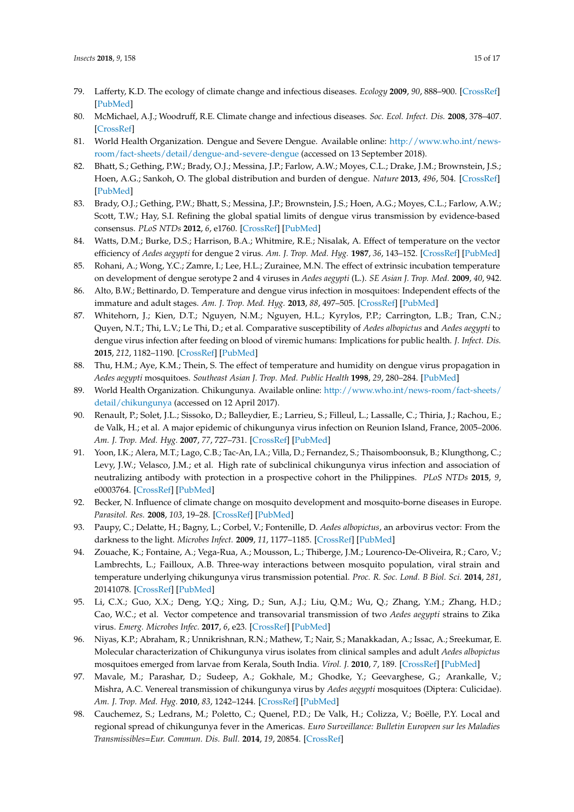- 79. Lafferty, K.D. The ecology of climate change and infectious diseases. *Ecology* **2009**, *90*, 888–900. [\[CrossRef\]](http://dx.doi.org/10.1890/08-0079.1) [\[PubMed\]](http://www.ncbi.nlm.nih.gov/pubmed/19449681)
- <span id="page-14-0"></span>80. McMichael, A.J.; Woodruff, R.E. Climate change and infectious diseases. *Soc. Ecol. Infect. Dis.* **2008**, 378–407. [\[CrossRef\]](http://dx.doi.org/10.1016/B978-012370466-5.50019-4)
- <span id="page-14-1"></span>81. World Health Organization. Dengue and Severe Dengue. Available online: [http://www.who.int/news](http://www.who.int/news-room/fact-sheets/detail/dengue-and-severe-dengue)[room/fact-sheets/detail/dengue-and-severe-dengue](http://www.who.int/news-room/fact-sheets/detail/dengue-and-severe-dengue) (accessed on 13 September 2018).
- <span id="page-14-2"></span>82. Bhatt, S.; Gething, P.W.; Brady, O.J.; Messina, J.P.; Farlow, A.W.; Moyes, C.L.; Drake, J.M.; Brownstein, J.S.; Hoen, A.G.; Sankoh, O. The global distribution and burden of dengue. *Nature* **2013**, *496*, 504. [\[CrossRef\]](http://dx.doi.org/10.1038/nature12060) [\[PubMed\]](http://www.ncbi.nlm.nih.gov/pubmed/23563266)
- <span id="page-14-3"></span>83. Brady, O.J.; Gething, P.W.; Bhatt, S.; Messina, J.P.; Brownstein, J.S.; Hoen, A.G.; Moyes, C.L.; Farlow, A.W.; Scott, T.W.; Hay, S.I. Refining the global spatial limits of dengue virus transmission by evidence-based consensus. *PLoS NTDs* **2012**, *6*, e1760. [\[CrossRef\]](http://dx.doi.org/10.1371/journal.pntd.0001760) [\[PubMed\]](http://www.ncbi.nlm.nih.gov/pubmed/22880140)
- <span id="page-14-4"></span>84. Watts, D.M.; Burke, D.S.; Harrison, B.A.; Whitmire, R.E.; Nisalak, A. Effect of temperature on the vector efficiency of *Aedes aegypti* for dengue 2 virus. *Am. J. Trop. Med. Hyg.* **1987**, *36*, 143–152. [\[CrossRef\]](http://dx.doi.org/10.4269/ajtmh.1987.36.143) [\[PubMed\]](http://www.ncbi.nlm.nih.gov/pubmed/3812879)
- <span id="page-14-5"></span>85. Rohani, A.; Wong, Y.C.; Zamre, I.; Lee, H.L.; Zurainee, M.N. The effect of extrinsic incubation temperature on development of dengue serotype 2 and 4 viruses in *Aedes aegypti* (L.). *SE Asian J. Trop. Med.* **2009**, *40*, 942.
- <span id="page-14-6"></span>86. Alto, B.W.; Bettinardo, D. Temperature and dengue virus infection in mosquitoes: Independent effects of the immature and adult stages. *Am. J. Trop. Med. Hyg.* **2013**, *88*, 497–505. [\[CrossRef\]](http://dx.doi.org/10.4269/ajtmh.12-0421) [\[PubMed\]](http://www.ncbi.nlm.nih.gov/pubmed/23382163)
- <span id="page-14-7"></span>87. Whitehorn, J.; Kien, D.T.; Nguyen, N.M.; Nguyen, H.L.; Kyrylos, P.P.; Carrington, L.B.; Tran, C.N.; Quyen, N.T.; Thi, L.V.; Le Thi, D.; et al. Comparative susceptibility of *Aedes albopictus* and *Aedes aegypti* to dengue virus infection after feeding on blood of viremic humans: Implications for public health. *J. Infect. Dis.* **2015**, *212*, 1182–1190. [\[CrossRef\]](http://dx.doi.org/10.1093/infdis/jiv173) [\[PubMed\]](http://www.ncbi.nlm.nih.gov/pubmed/25784733)
- <span id="page-14-8"></span>88. Thu, H.M.; Aye, K.M.; Thein, S. The effect of temperature and humidity on dengue virus propagation in *Aedes aegypti* mosquitoes. *Southeast Asian J. Trop. Med. Public Health* **1998**, *29*, 280–284. [\[PubMed\]](http://www.ncbi.nlm.nih.gov/pubmed/9886113)
- <span id="page-14-9"></span>89. World Health Organization. Chikungunya. Available online: [http://www.who.int/news-room/fact-sheets/](http://www.who.int/news-room/fact-sheets/detail/chikungunya) [detail/chikungunya](http://www.who.int/news-room/fact-sheets/detail/chikungunya) (accessed on 12 April 2017).
- <span id="page-14-10"></span>90. Renault, P.; Solet, J.L.; Sissoko, D.; Balleydier, E.; Larrieu, S.; Filleul, L.; Lassalle, C.; Thiria, J.; Rachou, E.; de Valk, H.; et al. A major epidemic of chikungunya virus infection on Reunion Island, France, 2005–2006. *Am. J. Trop. Med. Hyg.* **2007**, *77*, 727–731. [\[CrossRef\]](http://dx.doi.org/10.4269/ajtmh.2007.77.727) [\[PubMed\]](http://www.ncbi.nlm.nih.gov/pubmed/17978079)
- <span id="page-14-11"></span>91. Yoon, I.K.; Alera, M.T.; Lago, C.B.; Tac-An, I.A.; Villa, D.; Fernandez, S.; Thaisomboonsuk, B.; Klungthong, C.; Levy, J.W.; Velasco, J.M.; et al. High rate of subclinical chikungunya virus infection and association of neutralizing antibody with protection in a prospective cohort in the Philippines. *PLoS NTDs* **2015**, *9*, e0003764. [\[CrossRef\]](http://dx.doi.org/10.1371/journal.pntd.0003764) [\[PubMed\]](http://www.ncbi.nlm.nih.gov/pubmed/25951202)
- <span id="page-14-12"></span>92. Becker, N. Influence of climate change on mosquito development and mosquito-borne diseases in Europe. *Parasitol. Res.* **2008**, *103*, 19–28. [\[CrossRef\]](http://dx.doi.org/10.1007/s00436-008-1210-2) [\[PubMed\]](http://www.ncbi.nlm.nih.gov/pubmed/19030883)
- <span id="page-14-13"></span>93. Paupy, C.; Delatte, H.; Bagny, L.; Corbel, V.; Fontenille, D. *Aedes albopictus*, an arbovirus vector: From the darkness to the light. *Microbes Infect.* **2009**, *11*, 1177–1185. [\[CrossRef\]](http://dx.doi.org/10.1016/j.micinf.2009.05.005) [\[PubMed\]](http://www.ncbi.nlm.nih.gov/pubmed/19450706)
- <span id="page-14-14"></span>94. Zouache, K.; Fontaine, A.; Vega-Rua, A.; Mousson, L.; Thiberge, J.M.; Lourenco-De-Oliveira, R.; Caro, V.; Lambrechts, L.; Failloux, A.B. Three-way interactions between mosquito population, viral strain and temperature underlying chikungunya virus transmission potential. *Proc. R. Soc. Lond. B Biol. Sci.* **2014**, *281*, 20141078. [\[CrossRef\]](http://dx.doi.org/10.1098/rspb.2014.1078) [\[PubMed\]](http://www.ncbi.nlm.nih.gov/pubmed/25122228)
- <span id="page-14-15"></span>95. Li, C.X.; Guo, X.X.; Deng, Y.Q.; Xing, D.; Sun, A.J.; Liu, Q.M.; Wu, Q.; Zhang, Y.M.; Zhang, H.D.; Cao, W.C.; et al. Vector competence and transovarial transmission of two *Aedes aegypti* strains to Zika virus. *Emerg. Microbes Infec.* **2017**, *6*, e23. [\[CrossRef\]](http://dx.doi.org/10.1038/emi.2017.8) [\[PubMed\]](http://www.ncbi.nlm.nih.gov/pubmed/28442754)
- 96. Niyas, K.P.; Abraham, R.; Unnikrishnan, R.N.; Mathew, T.; Nair, S.; Manakkadan, A.; Issac, A.; Sreekumar, E. Molecular characterization of Chikungunya virus isolates from clinical samples and adult *Aedes albopictus* mosquitoes emerged from larvae from Kerala, South India. *Virol. J.* **2010**, *7*, 189. [\[CrossRef\]](http://dx.doi.org/10.1186/1743-422X-7-189) [\[PubMed\]](http://www.ncbi.nlm.nih.gov/pubmed/20704755)
- <span id="page-14-16"></span>97. Mavale, M.; Parashar, D.; Sudeep, A.; Gokhale, M.; Ghodke, Y.; Geevarghese, G.; Arankalle, V.; Mishra, A.C. Venereal transmission of chikungunya virus by *Aedes aegypti* mosquitoes (Diptera: Culicidae). *Am. J. Trop. Med. Hyg.* **2010**, *83*, 1242–1244. [\[CrossRef\]](http://dx.doi.org/10.4269/ajtmh.2010.09-0577) [\[PubMed\]](http://www.ncbi.nlm.nih.gov/pubmed/21118928)
- <span id="page-14-17"></span>98. Cauchemez, S.; Ledrans, M.; Poletto, C.; Quenel, P.D.; De Valk, H.; Colizza, V.; Boëlle, P.Y. Local and regional spread of chikungunya fever in the Americas. *Euro Surveillance: Bulletin Europeen sur les Maladies Transmissibles=Eur. Commun. Dis. Bull.* **2014**, *19*, 20854. [\[CrossRef\]](http://dx.doi.org/10.2807/1560-7917.ES2014.19.28.20854)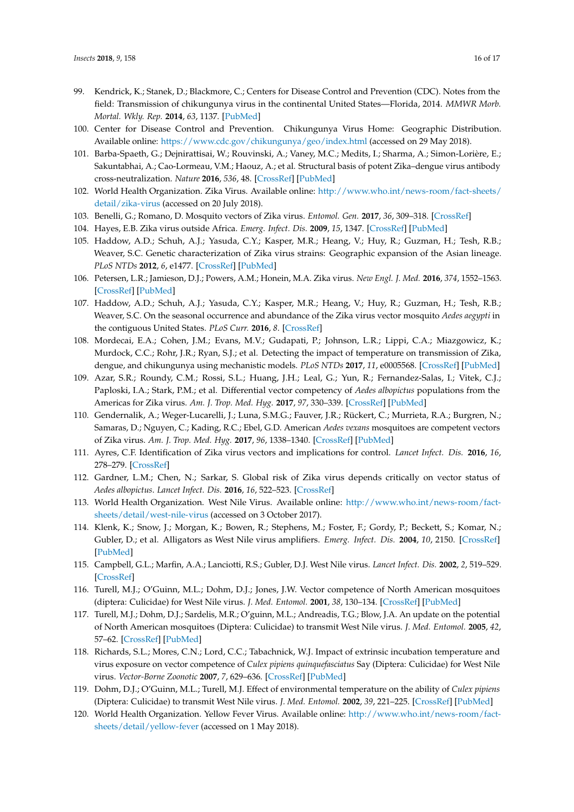- <span id="page-15-0"></span>99. Kendrick, K.; Stanek, D.; Blackmore, C.; Centers for Disease Control and Prevention (CDC). Notes from the field: Transmission of chikungunya virus in the continental United States—Florida, 2014. *MMWR Morb. Mortal. Wkly. Rep.* **2014**, *63*, 1137. [\[PubMed\]](http://www.ncbi.nlm.nih.gov/pubmed/25474035)
- <span id="page-15-1"></span>100. Center for Disease Control and Prevention. Chikungunya Virus Home: Geographic Distribution. Available online: <https://www.cdc.gov/chikungunya/geo/index.html> (accessed on 29 May 2018).
- <span id="page-15-2"></span>101. Barba-Spaeth, G.; Dejnirattisai, W.; Rouvinski, A.; Vaney, M.C.; Medits, I.; Sharma, A.; Simon-Lorière, E.; Sakuntabhai, A.; Cao-Lormeau, V.M.; Haouz, A.; et al. Structural basis of potent Zika–dengue virus antibody cross-neutralization. *Nature* **2016**, *536*, 48. [\[CrossRef\]](http://dx.doi.org/10.1038/nature18938) [\[PubMed\]](http://www.ncbi.nlm.nih.gov/pubmed/27338953)
- <span id="page-15-3"></span>102. World Health Organization. Zika Virus. Available online: [http://www.who.int/news-room/fact-sheets/](http://www.who.int/news-room/fact-sheets/detail/zika-virus) [detail/zika-virus](http://www.who.int/news-room/fact-sheets/detail/zika-virus) (accessed on 20 July 2018).
- <span id="page-15-4"></span>103. Benelli, G.; Romano, D. Mosquito vectors of Zika virus. *Entomol. Gen.* **2017**, *36*, 309–318. [\[CrossRef\]](http://dx.doi.org/10.1127/entomologia/2017/0496)
- <span id="page-15-5"></span>104. Hayes, E.B. Zika virus outside Africa. *Emerg. Infect. Dis.* **2009**, *15*, 1347. [\[CrossRef\]](http://dx.doi.org/10.3201/eid1509.090442) [\[PubMed\]](http://www.ncbi.nlm.nih.gov/pubmed/19788800)
- <span id="page-15-6"></span>105. Haddow, A.D.; Schuh, A.J.; Yasuda, C.Y.; Kasper, M.R.; Heang, V.; Huy, R.; Guzman, H.; Tesh, R.B.; Weaver, S.C. Genetic characterization of Zika virus strains: Geographic expansion of the Asian lineage. *PLoS NTDs* **2012**, *6*, e1477. [\[CrossRef\]](http://dx.doi.org/10.1371/journal.pntd.0001477) [\[PubMed\]](http://www.ncbi.nlm.nih.gov/pubmed/22389730)
- <span id="page-15-7"></span>106. Petersen, L.R.; Jamieson, D.J.; Powers, A.M.; Honein, M.A. Zika virus. *New Engl. J. Med.* **2016**, *374*, 1552–1563. [\[CrossRef\]](http://dx.doi.org/10.1056/NEJMra1602113) [\[PubMed\]](http://www.ncbi.nlm.nih.gov/pubmed/27028561)
- <span id="page-15-8"></span>107. Haddow, A.D.; Schuh, A.J.; Yasuda, C.Y.; Kasper, M.R.; Heang, V.; Huy, R.; Guzman, H.; Tesh, R.B.; Weaver, S.C. On the seasonal occurrence and abundance of the Zika virus vector mosquito *Aedes aegypti* in the contiguous United States. *PLoS Curr.* **2016**, *8*. [\[CrossRef\]](http://dx.doi.org/10.1371/currents.outbreaks.50dfc7f46798675fc63e7d7da563da76)
- <span id="page-15-9"></span>108. Mordecai, E.A.; Cohen, J.M.; Evans, M.V.; Gudapati, P.; Johnson, L.R.; Lippi, C.A.; Miazgowicz, K.; Murdock, C.C.; Rohr, J.R.; Ryan, S.J.; et al. Detecting the impact of temperature on transmission of Zika, dengue, and chikungunya using mechanistic models. *PLoS NTDs* **2017**, *11*, e0005568. [\[CrossRef\]](http://dx.doi.org/10.1371/journal.pntd.0005568) [\[PubMed\]](http://www.ncbi.nlm.nih.gov/pubmed/28448507)
- <span id="page-15-10"></span>109. Azar, S.R.; Roundy, C.M.; Rossi, S.L.; Huang, J.H.; Leal, G.; Yun, R.; Fernandez-Salas, I.; Vitek, C.J.; Paploski, I.A.; Stark, P.M.; et al. Differential vector competency of *Aedes albopictus* populations from the Americas for Zika virus. *Am. J. Trop. Med. Hyg.* **2017**, *97*, 330–339. [\[CrossRef\]](http://dx.doi.org/10.4269/ajtmh.16-0969) [\[PubMed\]](http://www.ncbi.nlm.nih.gov/pubmed/28829735)
- <span id="page-15-11"></span>110. Gendernalik, A.; Weger-Lucarelli, J.; Luna, S.M.G.; Fauver, J.R.; Rückert, C.; Murrieta, R.A.; Burgren, N.; Samaras, D.; Nguyen, C.; Kading, R.C.; Ebel, G.D. American *Aedes vexans* mosquitoes are competent vectors of Zika virus. *Am. J. Trop. Med. Hyg.* **2017**, *96*, 1338–1340. [\[CrossRef\]](http://dx.doi.org/10.4269/ajtmh.16-0963) [\[PubMed\]](http://www.ncbi.nlm.nih.gov/pubmed/28719283)
- <span id="page-15-12"></span>111. Ayres, C.F. Identification of Zika virus vectors and implications for control. *Lancet Infect. Dis.* **2016**, *16*, 278–279. [\[CrossRef\]](http://dx.doi.org/10.1016/S1473-3099(16)00073-6)
- <span id="page-15-13"></span>112. Gardner, L.M.; Chen, N.; Sarkar, S. Global risk of Zika virus depends critically on vector status of *Aedes albopictus*. *Lancet Infect. Dis.* **2016**, *16*, 522–523. [\[CrossRef\]](http://dx.doi.org/10.1016/S1473-3099(16)00176-6)
- <span id="page-15-14"></span>113. World Health Organization. West Nile Virus. Available online: [http://www.who.int/news-room/fact](http://www.who.int/news-room/fact-sheets/detail/west-nile-virus)[sheets/detail/west-nile-virus](http://www.who.int/news-room/fact-sheets/detail/west-nile-virus) (accessed on 3 October 2017).
- <span id="page-15-15"></span>114. Klenk, K.; Snow, J.; Morgan, K.; Bowen, R.; Stephens, M.; Foster, F.; Gordy, P.; Beckett, S.; Komar, N.; Gubler, D.; et al. Alligators as West Nile virus amplifiers. *Emerg. Infect. Dis.* **2004**, *10*, 2150. [\[CrossRef\]](http://dx.doi.org/10.3201/eid1012.040264) [\[PubMed\]](http://www.ncbi.nlm.nih.gov/pubmed/15663852)
- <span id="page-15-16"></span>115. Campbell, G.L.; Marfin, A.A.; Lanciotti, R.S.; Gubler, D.J. West Nile virus. *Lancet Infect. Dis.* **2002**, *2*, 519–529. [\[CrossRef\]](http://dx.doi.org/10.1016/S1473-3099(02)00368-7)
- <span id="page-15-17"></span>116. Turell, M.J.; O'Guinn, M.L.; Dohm, D.J.; Jones, J.W. Vector competence of North American mosquitoes (diptera: Culicidae) for West Nile virus. *J. Med. Entomol.* **2001**, *38*, 130–134. [\[CrossRef\]](http://dx.doi.org/10.1603/0022-2585-38.2.130) [\[PubMed\]](http://www.ncbi.nlm.nih.gov/pubmed/11296813)
- <span id="page-15-18"></span>117. Turell, M.J.; Dohm, D.J.; Sardelis, M.R.; O'guinn, M.L.; Andreadis, T.G.; Blow, J.A. An update on the potential of North American mosquitoes (Diptera: Culicidae) to transmit West Nile virus. *J. Med. Entomol.* **2005**, *42*, 57–62. [\[CrossRef\]](http://dx.doi.org/10.1093/jmedent/42.1.57) [\[PubMed\]](http://www.ncbi.nlm.nih.gov/pubmed/15691009)
- <span id="page-15-19"></span>118. Richards, S.L.; Mores, C.N.; Lord, C.C.; Tabachnick, W.J. Impact of extrinsic incubation temperature and virus exposure on vector competence of *Culex pipiens quinquefasciatus* Say (Diptera: Culicidae) for West Nile virus. *Vector-Borne Zoonotic* **2007**, *7*, 629–636. [\[CrossRef\]](http://dx.doi.org/10.1089/vbz.2007.0101) [\[PubMed\]](http://www.ncbi.nlm.nih.gov/pubmed/18021028)
- <span id="page-15-20"></span>119. Dohm, D.J.; O'Guinn, M.L.; Turell, M.J. Effect of environmental temperature on the ability of *Culex pipiens* (Diptera: Culicidae) to transmit West Nile virus. *J. Med. Entomol.* **2002**, *39*, 221–225. [\[CrossRef\]](http://dx.doi.org/10.1603/0022-2585-39.1.221) [\[PubMed\]](http://www.ncbi.nlm.nih.gov/pubmed/11931261)
- <span id="page-15-21"></span>120. World Health Organization. Yellow Fever Virus. Available online: [http://www.who.int/news-room/fact](http://www.who.int/news-room/fact-sheets/detail/yellow-fever)[sheets/detail/yellow-fever](http://www.who.int/news-room/fact-sheets/detail/yellow-fever) (accessed on 1 May 2018).